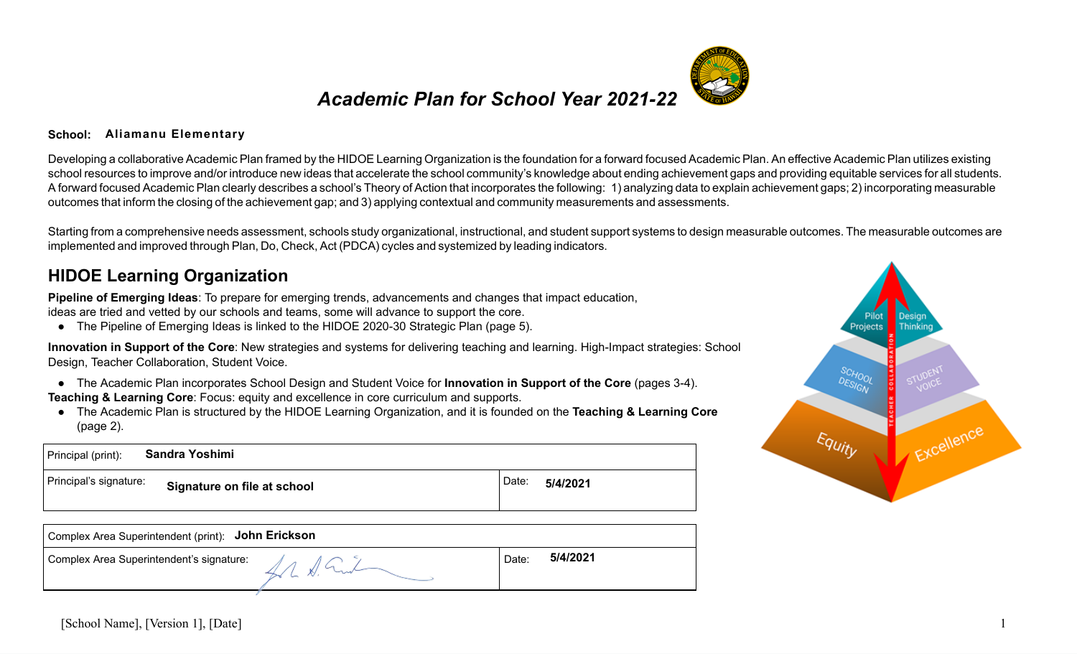### *Academic Plan for School Year 2021-22*

#### **School: Aliamanu Elementary**

Developing a collaborative Academic Plan framed by the HIDOE Learning Organization is the foundation for a forward focused Academic Plan. An effective Academic Plan utilizes existing school resources to improve and/or introduce new ideas that accelerate the school community's knowledge about ending achievement gaps and providing equitable services for all students. A forward focused Academic Plan clearly describes a school's Theory of Action that incorporates the following: 1) analyzing data to explain achievement gaps; 2) incorporating measurable outcomes that inform the closing of the achievement gap; and 3) applying contextual and community measurements and assessments.

Starting from a comprehensive needs assessment, schools study organizational, instructional, and student support systems to design measurable outcomes. The measurable outcomes are implemented and improved through Plan, Do, Check, Act (PDCA) cycles and systemized by leading indicators.

#### **HIDOE Learning Organization**

**Pipeline of Emerging Ideas** : To prepare for emerging trends, advancements and changes that impact education, ideas are tried and vetted by our schools and teams, some will advance to support the core.

● The Pipeline of Emerging Ideas is linked to the HIDOE 2020-30 Strategic Plan (page 5).

**Innovation in Support of the Core** : New strategies and systems for delivering teaching and learning. High-Impact strategies: School Design, Teacher Collaboration, Student Voice.

- The Academic Plan incorporates School Design and Student Voice for **Innovation in Support of the Core** (pages 3-4).
- **Teaching & Learning Core:** Focus: equity and excellence in core curriculum and supports.
- The Academic Plan is structured by the HIDOE Learning Organization, and it is founded on the **Teaching & Learning Core** (page 2).

| Sandra Yoshimi<br>Principal (print):                  |                   |
|-------------------------------------------------------|-------------------|
| Principal's signature:<br>Signature on file at school | Date:<br>5/4/2021 |
| Complex Area Superintendent (print): John Erickson    |                   |

| Complex Area Superintendent (print): John Erickson |       |          |
|----------------------------------------------------|-------|----------|
| Complex Area Superintendent's signature:           | Date: | 5/4/2021 |
|                                                    |       |          |

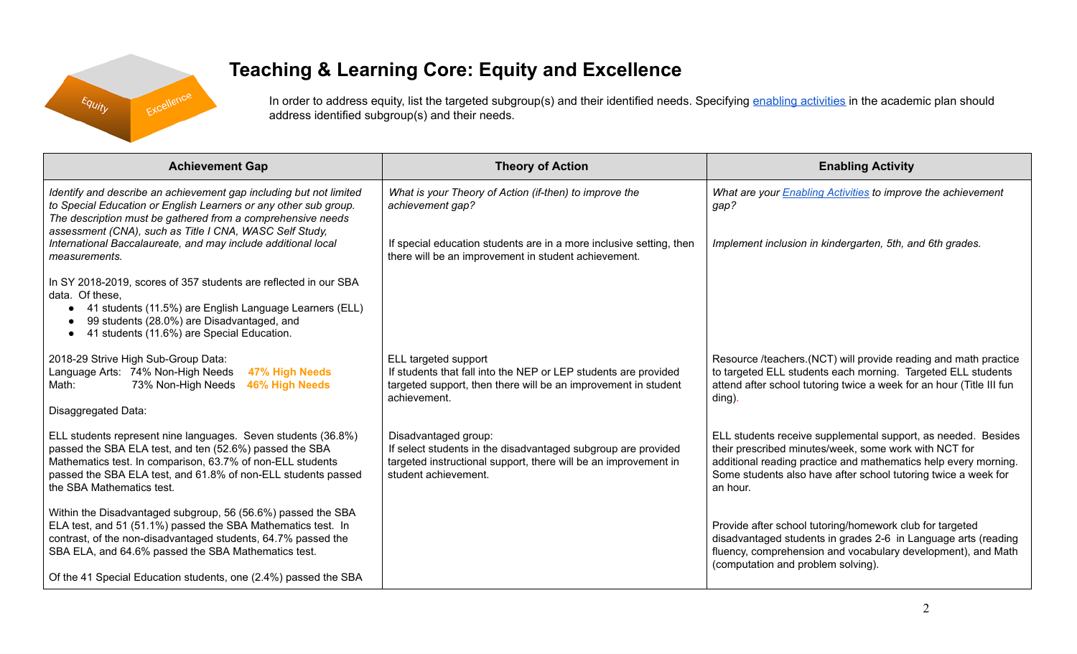

# **Teaching & Learning Core: Equity and Excellence**

In order to address equity, list the targeted subgroup(s) and their identified needs. Specifying enabling [activities](https://docs.google.com/document/d/1_CBCCCUPTqpr2sEeh1fQ9EUVupyhBBZlYUdzcm9zCw0/edit) in the academic plan should address identified subgroup(s) and their needs.

| <b>Theory of Action</b>                                                                                                                                                          | <b>Enabling Activity</b>                                                                                                                                                                                                                                                |
|----------------------------------------------------------------------------------------------------------------------------------------------------------------------------------|-------------------------------------------------------------------------------------------------------------------------------------------------------------------------------------------------------------------------------------------------------------------------|
| What is your Theory of Action (if-then) to improve the<br>achievement gap?                                                                                                       | What are your <b>Enabling Activities</b> to improve the achievement<br>gap?<br>Implement inclusion in kindergarten, 5th, and 6th grades.                                                                                                                                |
| there will be an improvement in student achievement.                                                                                                                             |                                                                                                                                                                                                                                                                         |
|                                                                                                                                                                                  |                                                                                                                                                                                                                                                                         |
| ELL targeted support<br>If students that fall into the NEP or LEP students are provided<br>targeted support, then there will be an improvement in student<br>achievement.        | Resource /teachers.(NCT) will provide reading and math practice<br>to targeted ELL students each morning. Targeted ELL students<br>attend after school tutoring twice a week for an hour (Title III fun<br>ding).                                                       |
| Disadvantaged group:<br>If select students in the disadvantaged subgroup are provided<br>targeted instructional support, there will be an improvement in<br>student achievement. | ELL students receive supplemental support, as needed. Besides<br>their prescribed minutes/week, some work with NCT for<br>additional reading practice and mathematics help every morning.<br>Some students also have after school tutoring twice a week for<br>an hour. |
|                                                                                                                                                                                  | Provide after school tutoring/homework club for targeted<br>disadvantaged students in grades 2-6 in Language arts (reading<br>fluency, comprehension and vocabulary development), and Math<br>(computation and problem solving).                                        |
|                                                                                                                                                                                  | If special education students are in a more inclusive setting, then                                                                                                                                                                                                     |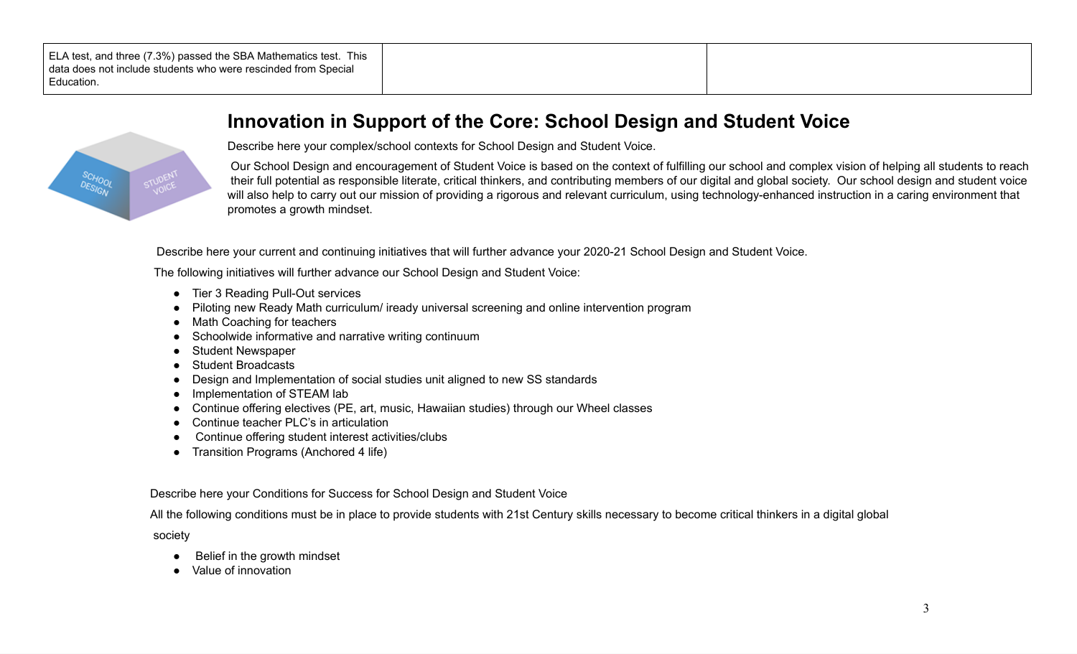| ELA test, and three (7.3%) passed the SBA Mathematics test. This<br>data does not include students who were rescinded from Special<br>Education. |  |  |
|--------------------------------------------------------------------------------------------------------------------------------------------------|--|--|
|--------------------------------------------------------------------------------------------------------------------------------------------------|--|--|



#### **Innovation in Support of the Core: School Design and Student Voice**

Describe here your complex/school contexts for School Design and Student Voice.

Our School Design and encouragement of Student Voice is based on the context of fulfilling our school and complex vision of helping all students to reach their full potential as responsible literate, critical thinkers, and contributing members of our digital and global society. Our school design and student voice will also help to carry out our mission of providing a rigorous and relevant curriculum, using technology-enhanced instruction in a caring environment that promotes a growth mindset.

Describe here your current and continuing initiatives that will further advance your 2020-21 School Design and Student Voice.

The following initiatives will further advance our School Design and Student Voice:

- Tier 3 Reading Pull-Out services
- Piloting new Ready Math curriculum/ iready universal screening and online intervention program
- Math Coaching for teachers
- Schoolwide informative and narrative writing continuum
- Student Newspaper
- Student Broadcasts
- Design and Implementation of social studies unit aligned to new SS standards
- Implementation of STEAM lab
- Continue offering electives (PE, art, music, Hawaiian studies) through our Wheel classes
- Continue teacher PLC's in articulation
- Continue offering student interest activities/clubs
- Transition Programs (Anchored 4 life)

Describe here your Conditions for Success for School Design and Student Voice

All the following conditions must be in place to provide students with 21st Century skills necessary to become critical thinkers in a digital global

society

- Belief in the growth mindset
- Value of innovation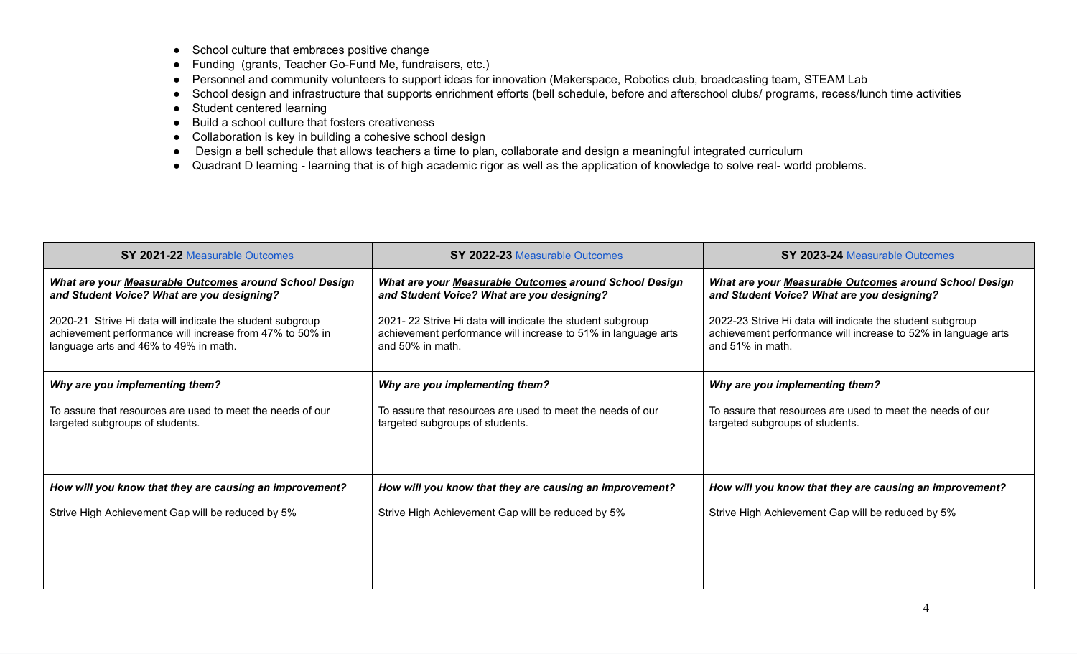- School culture that embraces positive change
- Funding (grants, Teacher Go-Fund Me, fundraisers, etc.)
- Personnel and community volunteers to support ideas for innovation (Makerspace, Robotics club, broadcasting team, STEAM Lab
- School design and infrastructure that supports enrichment efforts (bell schedule, before and afterschool clubs/ programs, recess/lunch time activities
- Student centered learning
- Build a school culture that fosters creativeness
- Collaboration is key in building a cohesive school design
- Design a bell schedule that allows teachers a time to plan, collaborate and design a meaningful integrated curriculum
- Quadrant D learning learning that is of high academic rigor as well as the application of knowledge to solve real- world problems.

| SY 2021-22 Measurable Outcomes                                                                                                                                 | SY 2022-23 Measurable Outcomes                                                                                                                 | SY 2023-24 Measurable Outcomes                                                                                                                 |
|----------------------------------------------------------------------------------------------------------------------------------------------------------------|------------------------------------------------------------------------------------------------------------------------------------------------|------------------------------------------------------------------------------------------------------------------------------------------------|
| What are your Measurable Outcomes around School Design<br>and Student Voice? What are you designing?                                                           | What are your Measurable Outcomes around School Design<br>and Student Voice? What are you designing?                                           | What are your Measurable Outcomes around School Design<br>and Student Voice? What are you designing?                                           |
| 2020-21 Strive Hi data will indicate the student subgroup<br>achievement performance will increase from 47% to 50% in<br>language arts and 46% to 49% in math. | 2021-22 Strive Hi data will indicate the student subgroup<br>achievement performance will increase to 51% in language arts<br>and 50% in math. | 2022-23 Strive Hi data will indicate the student subgroup<br>achievement performance will increase to 52% in language arts<br>and 51% in math. |
| Why are you implementing them?                                                                                                                                 | Why are you implementing them?                                                                                                                 | Why are you implementing them?                                                                                                                 |
| To assure that resources are used to meet the needs of our<br>targeted subgroups of students.                                                                  | To assure that resources are used to meet the needs of our<br>targeted subgroups of students.                                                  | To assure that resources are used to meet the needs of our<br>targeted subgroups of students.                                                  |
| How will you know that they are causing an improvement?                                                                                                        | How will you know that they are causing an improvement?                                                                                        | How will you know that they are causing an improvement?                                                                                        |
| Strive High Achievement Gap will be reduced by 5%                                                                                                              | Strive High Achievement Gap will be reduced by 5%                                                                                              | Strive High Achievement Gap will be reduced by 5%                                                                                              |
|                                                                                                                                                                |                                                                                                                                                |                                                                                                                                                |
|                                                                                                                                                                |                                                                                                                                                |                                                                                                                                                |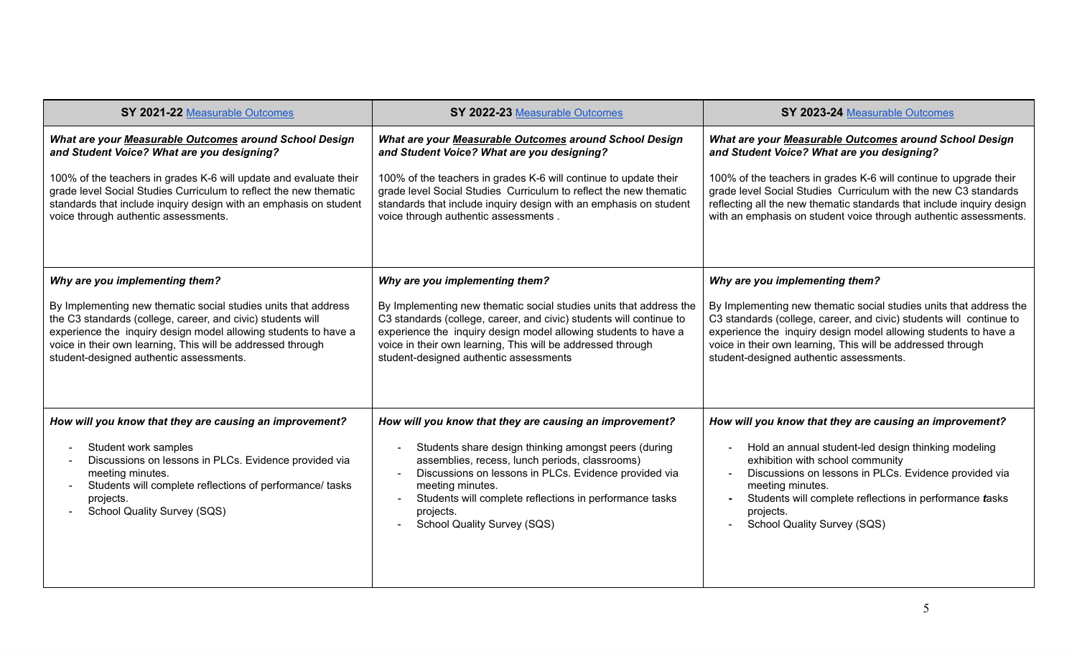| SY 2021-22 Measurable Outcomes                                                                                                                                                                                                                                                                             | SY 2022-23 Measurable Outcomes                                                                                                                                                                                                                                                                                        | SY 2023-24 Measurable Outcomes                                                                                                                                                                                                                                                                                         |
|------------------------------------------------------------------------------------------------------------------------------------------------------------------------------------------------------------------------------------------------------------------------------------------------------------|-----------------------------------------------------------------------------------------------------------------------------------------------------------------------------------------------------------------------------------------------------------------------------------------------------------------------|------------------------------------------------------------------------------------------------------------------------------------------------------------------------------------------------------------------------------------------------------------------------------------------------------------------------|
| What are your Measurable Outcomes around School Design<br>and Student Voice? What are you designing?                                                                                                                                                                                                       | What are your Measurable Outcomes around School Design<br>and Student Voice? What are you designing?                                                                                                                                                                                                                  | What are your Measurable Outcomes around School Design<br>and Student Voice? What are you designing?                                                                                                                                                                                                                   |
| 100% of the teachers in grades K-6 will update and evaluate their<br>grade level Social Studies Curriculum to reflect the new thematic<br>standards that include inquiry design with an emphasis on student<br>voice through authentic assessments.                                                        | 100% of the teachers in grades K-6 will continue to update their<br>grade level Social Studies Curriculum to reflect the new thematic<br>standards that include inquiry design with an emphasis on student<br>voice through authentic assessments.                                                                    | 100% of the teachers in grades K-6 will continue to upgrade their<br>grade level Social Studies Curriculum with the new C3 standards<br>reflecting all the new thematic standards that include inquiry design<br>with an emphasis on student voice through authentic assessments.                                      |
| Why are you implementing them?                                                                                                                                                                                                                                                                             | Why are you implementing them?                                                                                                                                                                                                                                                                                        | Why are you implementing them?                                                                                                                                                                                                                                                                                         |
| By Implementing new thematic social studies units that address<br>the C3 standards (college, career, and civic) students will<br>experience the inquiry design model allowing students to have a<br>voice in their own learning, This will be addressed through<br>student-designed authentic assessments. | By Implementing new thematic social studies units that address the<br>C3 standards (college, career, and civic) students will continue to<br>experience the inquiry design model allowing students to have a<br>voice in their own learning, This will be addressed through<br>student-designed authentic assessments | By Implementing new thematic social studies units that address the<br>C3 standards (college, career, and civic) students will continue to<br>experience the inquiry design model allowing students to have a<br>voice in their own learning, This will be addressed through<br>student-designed authentic assessments. |
| How will you know that they are causing an improvement?                                                                                                                                                                                                                                                    | How will you know that they are causing an improvement?                                                                                                                                                                                                                                                               | How will you know that they are causing an improvement?                                                                                                                                                                                                                                                                |
| Student work samples<br>Discussions on lessons in PLCs. Evidence provided via<br>meeting minutes.<br>Students will complete reflections of performance/ tasks<br>projects.<br><b>School Quality Survey (SQS)</b>                                                                                           | Students share design thinking amongst peers (during<br>assemblies, recess, lunch periods, classrooms)<br>Discussions on lessons in PLCs. Evidence provided via<br>meeting minutes.<br>Students will complete reflections in performance tasks<br>projects.<br><b>School Quality Survey (SQS)</b>                     | Hold an annual student-led design thinking modeling<br>exhibition with school community<br>Discussions on lessons in PLCs. Evidence provided via<br>meeting minutes.<br>Students will complete reflections in performance tasks<br>projects.<br><b>School Quality Survey (SQS)</b>                                     |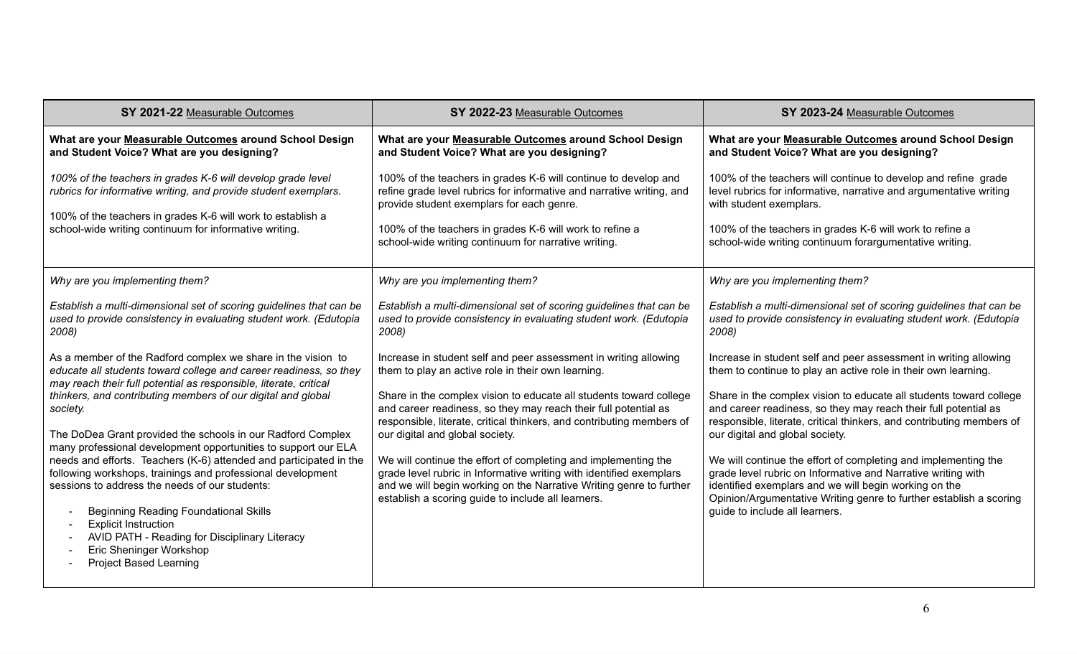| SY 2021-22 Measurable Outcomes                                                                                                                                                                                                                                                                                                                                                                                                                                                                                                                                                                                                                                                                                                                                                                         | SY 2022-23 Measurable Outcomes                                                                                                                                                                                                                                                                                                                                                                                                                                                                                                                                                                                                                    | SY 2023-24 Measurable Outcomes                                                                                                                                                                                                                                                                                                                                                                                                                                                                                                                                                                                                                                                             |
|--------------------------------------------------------------------------------------------------------------------------------------------------------------------------------------------------------------------------------------------------------------------------------------------------------------------------------------------------------------------------------------------------------------------------------------------------------------------------------------------------------------------------------------------------------------------------------------------------------------------------------------------------------------------------------------------------------------------------------------------------------------------------------------------------------|---------------------------------------------------------------------------------------------------------------------------------------------------------------------------------------------------------------------------------------------------------------------------------------------------------------------------------------------------------------------------------------------------------------------------------------------------------------------------------------------------------------------------------------------------------------------------------------------------------------------------------------------------|--------------------------------------------------------------------------------------------------------------------------------------------------------------------------------------------------------------------------------------------------------------------------------------------------------------------------------------------------------------------------------------------------------------------------------------------------------------------------------------------------------------------------------------------------------------------------------------------------------------------------------------------------------------------------------------------|
| What are your Measurable Outcomes around School Design<br>and Student Voice? What are you designing?                                                                                                                                                                                                                                                                                                                                                                                                                                                                                                                                                                                                                                                                                                   | What are your Measurable Outcomes around School Design<br>and Student Voice? What are you designing?                                                                                                                                                                                                                                                                                                                                                                                                                                                                                                                                              | What are your Measurable Outcomes around School Design<br>and Student Voice? What are you designing?                                                                                                                                                                                                                                                                                                                                                                                                                                                                                                                                                                                       |
| 100% of the teachers in grades K-6 will develop grade level<br>rubrics for informative writing, and provide student exemplars.<br>100% of the teachers in grades K-6 will work to establish a<br>school-wide writing continuum for informative writing.                                                                                                                                                                                                                                                                                                                                                                                                                                                                                                                                                | 100% of the teachers in grades K-6 will continue to develop and<br>refine grade level rubrics for informative and narrative writing, and<br>provide student exemplars for each genre.<br>100% of the teachers in grades K-6 will work to refine a<br>school-wide writing continuum for narrative writing.                                                                                                                                                                                                                                                                                                                                         | 100% of the teachers will continue to develop and refine grade<br>level rubrics for informative, narrative and argumentative writing<br>with student exemplars.<br>100% of the teachers in grades K-6 will work to refine a<br>school-wide writing continuum forargumentative writing.                                                                                                                                                                                                                                                                                                                                                                                                     |
| Why are you implementing them?                                                                                                                                                                                                                                                                                                                                                                                                                                                                                                                                                                                                                                                                                                                                                                         | Why are you implementing them?                                                                                                                                                                                                                                                                                                                                                                                                                                                                                                                                                                                                                    | Why are you implementing them?                                                                                                                                                                                                                                                                                                                                                                                                                                                                                                                                                                                                                                                             |
| Establish a multi-dimensional set of scoring guidelines that can be<br>used to provide consistency in evaluating student work. (Edutopia<br>2008)                                                                                                                                                                                                                                                                                                                                                                                                                                                                                                                                                                                                                                                      | Establish a multi-dimensional set of scoring guidelines that can be<br>used to provide consistency in evaluating student work. (Edutopia<br>2008)                                                                                                                                                                                                                                                                                                                                                                                                                                                                                                 | Establish a multi-dimensional set of scoring guidelines that can be<br>used to provide consistency in evaluating student work. (Edutopia<br>2008)                                                                                                                                                                                                                                                                                                                                                                                                                                                                                                                                          |
| As a member of the Radford complex we share in the vision to<br>educate all students toward college and career readiness, so they<br>may reach their full potential as responsible, literate, critical<br>thinkers, and contributing members of our digital and global<br>society.<br>The DoDea Grant provided the schools in our Radford Complex<br>many professional development opportunities to support our ELA<br>needs and efforts. Teachers (K-6) attended and participated in the<br>following workshops, trainings and professional development<br>sessions to address the needs of our students:<br><b>Beginning Reading Foundational Skills</b><br><b>Explicit Instruction</b><br>AVID PATH - Reading for Disciplinary Literacy<br>Eric Sheninger Workshop<br><b>Project Based Learning</b> | Increase in student self and peer assessment in writing allowing<br>them to play an active role in their own learning.<br>Share in the complex vision to educate all students toward college<br>and career readiness, so they may reach their full potential as<br>responsible, literate, critical thinkers, and contributing members of<br>our digital and global society.<br>We will continue the effort of completing and implementing the<br>grade level rubric in Informative writing with identified exemplars<br>and we will begin working on the Narrative Writing genre to further<br>establish a scoring guide to include all learners. | Increase in student self and peer assessment in writing allowing<br>them to continue to play an active role in their own learning.<br>Share in the complex vision to educate all students toward college<br>and career readiness, so they may reach their full potential as<br>responsible, literate, critical thinkers, and contributing members of<br>our digital and global society.<br>We will continue the effort of completing and implementing the<br>grade level rubric on Informative and Narrative writing with<br>identified exemplars and we will begin working on the<br>Opinion/Argumentative Writing genre to further establish a scoring<br>guide to include all learners. |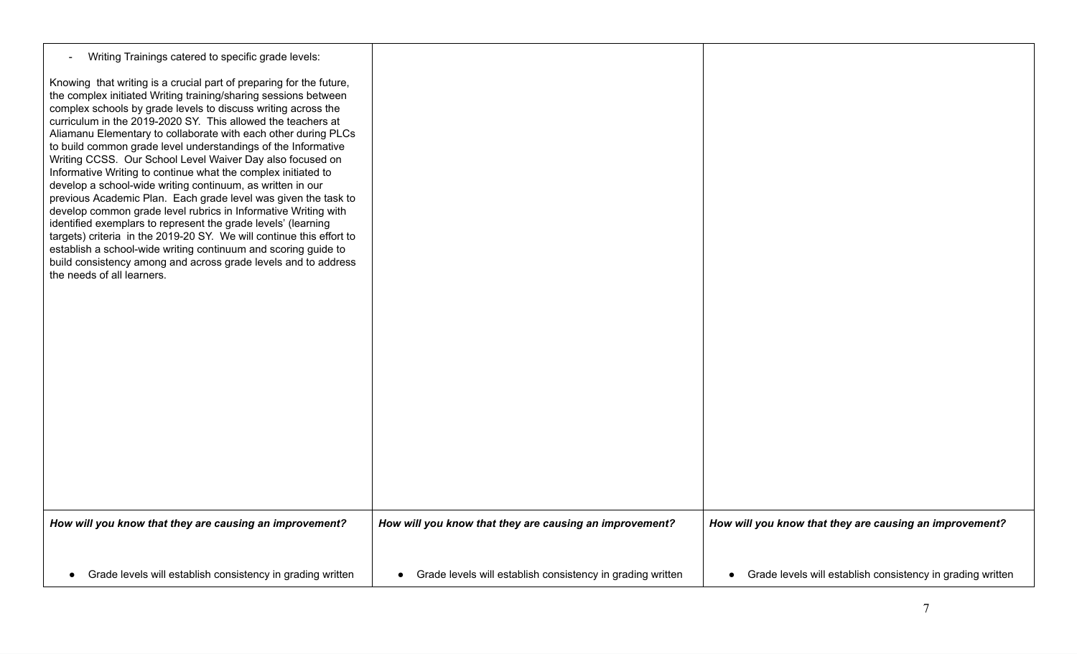| Writing Trainings catered to specific grade levels:                                                                                                                                                                                                                                                                                                                                                                                                                                                                                                                                                                                                                                                                                                                                                                                                                                                                                                                                                                                                   |                                                              |                                                              |
|-------------------------------------------------------------------------------------------------------------------------------------------------------------------------------------------------------------------------------------------------------------------------------------------------------------------------------------------------------------------------------------------------------------------------------------------------------------------------------------------------------------------------------------------------------------------------------------------------------------------------------------------------------------------------------------------------------------------------------------------------------------------------------------------------------------------------------------------------------------------------------------------------------------------------------------------------------------------------------------------------------------------------------------------------------|--------------------------------------------------------------|--------------------------------------------------------------|
| Knowing that writing is a crucial part of preparing for the future,<br>the complex initiated Writing training/sharing sessions between<br>complex schools by grade levels to discuss writing across the<br>curriculum in the 2019-2020 SY. This allowed the teachers at<br>Aliamanu Elementary to collaborate with each other during PLCs<br>to build common grade level understandings of the Informative<br>Writing CCSS. Our School Level Waiver Day also focused on<br>Informative Writing to continue what the complex initiated to<br>develop a school-wide writing continuum, as written in our<br>previous Academic Plan. Each grade level was given the task to<br>develop common grade level rubrics in Informative Writing with<br>identified exemplars to represent the grade levels' (learning<br>targets) criteria in the 2019-20 SY. We will continue this effort to<br>establish a school-wide writing continuum and scoring guide to<br>build consistency among and across grade levels and to address<br>the needs of all learners. |                                                              |                                                              |
| How will you know that they are causing an improvement?                                                                                                                                                                                                                                                                                                                                                                                                                                                                                                                                                                                                                                                                                                                                                                                                                                                                                                                                                                                               | How will you know that they are causing an improvement?      | How will you know that they are causing an improvement?      |
| Grade levels will establish consistency in grading written<br>$\bullet$                                                                                                                                                                                                                                                                                                                                                                                                                                                                                                                                                                                                                                                                                                                                                                                                                                                                                                                                                                               | • Grade levels will establish consistency in grading written | • Grade levels will establish consistency in grading written |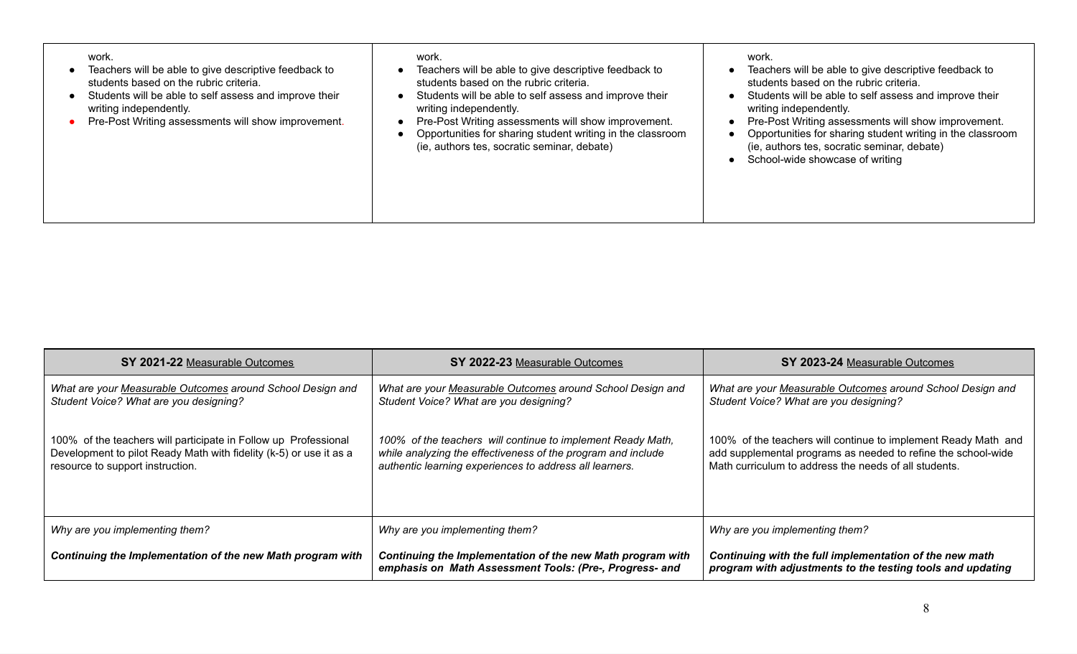| work.<br>Teachers will be able to give descriptive feedback to<br>students based on the rubric criteria.<br>Students will be able to self assess and improve their<br>writing independently.<br>Pre-Post Writing assessments will show improvement. | work.<br>Teachers will be able to give descriptive feedback to<br>students based on the rubric criteria.<br>Students will be able to self assess and improve their<br>writing independently.<br>Pre-Post Writing assessments will show improvement.<br>Opportunities for sharing student writing in the classroom<br>(ie, authors tes, socratic seminar, debate) | work.<br>Teachers will be able to give descriptive feedback to<br>students based on the rubric criteria.<br>Students will be able to self assess and improve their<br>writing independently.<br>Pre-Post Writing assessments will show improvement.<br>Opportunities for sharing student writing in the classroom<br>(ie, authors tes, socratic seminar, debate)<br>School-wide showcase of writing |
|-----------------------------------------------------------------------------------------------------------------------------------------------------------------------------------------------------------------------------------------------------|------------------------------------------------------------------------------------------------------------------------------------------------------------------------------------------------------------------------------------------------------------------------------------------------------------------------------------------------------------------|-----------------------------------------------------------------------------------------------------------------------------------------------------------------------------------------------------------------------------------------------------------------------------------------------------------------------------------------------------------------------------------------------------|
|-----------------------------------------------------------------------------------------------------------------------------------------------------------------------------------------------------------------------------------------------------|------------------------------------------------------------------------------------------------------------------------------------------------------------------------------------------------------------------------------------------------------------------------------------------------------------------------------------------------------------------|-----------------------------------------------------------------------------------------------------------------------------------------------------------------------------------------------------------------------------------------------------------------------------------------------------------------------------------------------------------------------------------------------------|

| SY 2021-22 Measurable Outcomes                                                                                                                                            | SY 2022-23 Measurable Outcomes                                                                                                                                                         | SY 2023-24 Measurable Outcomes                                                                                                                                                           |
|---------------------------------------------------------------------------------------------------------------------------------------------------------------------------|----------------------------------------------------------------------------------------------------------------------------------------------------------------------------------------|------------------------------------------------------------------------------------------------------------------------------------------------------------------------------------------|
| What are your Measurable Outcomes around School Design and<br>Student Voice? What are you designing?                                                                      | What are your Measurable Outcomes around School Design and<br>Student Voice? What are you designing?                                                                                   | What are your Measurable Outcomes around School Design and<br>Student Voice? What are you designing?                                                                                     |
| 100% of the teachers will participate in Follow up Professional<br>Development to pilot Ready Math with fidelity (k-5) or use it as a<br>resource to support instruction. | 100% of the teachers will continue to implement Ready Math,<br>while analyzing the effectiveness of the program and include<br>authentic learning experiences to address all learners. | 100% of the teachers will continue to implement Ready Math and<br>add supplemental programs as needed to refine the school-wide<br>Math curriculum to address the needs of all students. |
| Why are you implementing them?                                                                                                                                            | Why are you implementing them?                                                                                                                                                         | Why are you implementing them?                                                                                                                                                           |
| Continuing the Implementation of the new Math program with                                                                                                                | Continuing the Implementation of the new Math program with<br>emphasis on Math Assessment Tools: (Pre-, Progress- and                                                                  | Continuing with the full implementation of the new math<br>program with adjustments to the testing tools and updating                                                                    |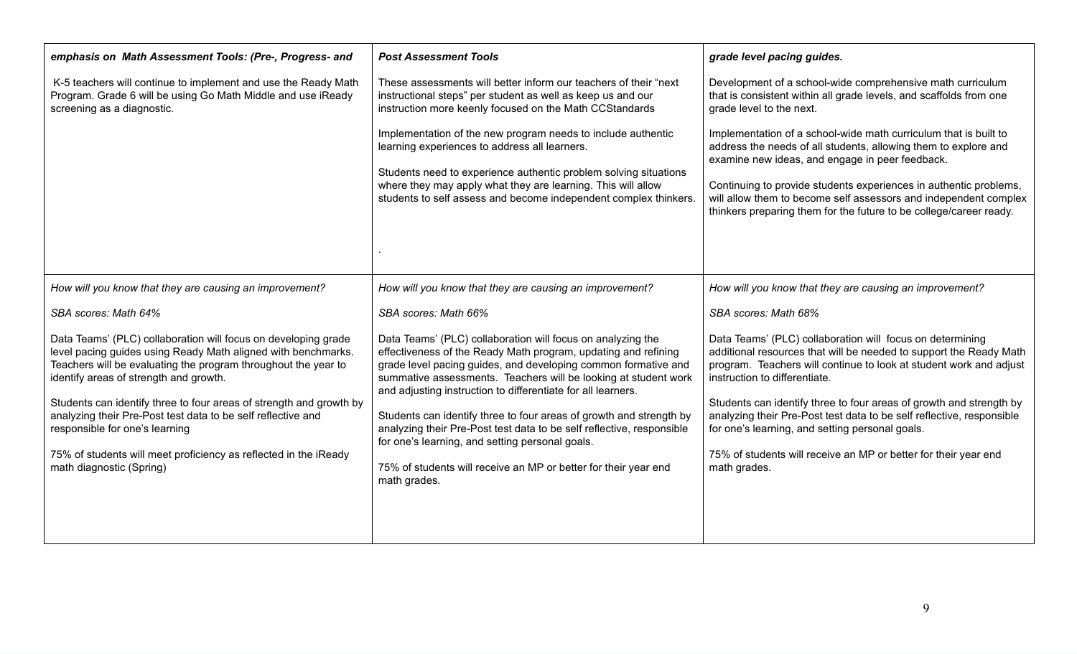| emphasis on Math Assessment Tools: (Pre-, Progress- and                                                                                                                                                                                                                                                                                                                                                                                                                                                              | <b>Post Assessment Tools</b>                                                                                                                                                                                                                                                                                                                                                                                                                                                                                                                                                                                             | grade level pacing guides.                                                                                                                                                                                                                                                                                                                                                                                                                                                                                                   |
|----------------------------------------------------------------------------------------------------------------------------------------------------------------------------------------------------------------------------------------------------------------------------------------------------------------------------------------------------------------------------------------------------------------------------------------------------------------------------------------------------------------------|--------------------------------------------------------------------------------------------------------------------------------------------------------------------------------------------------------------------------------------------------------------------------------------------------------------------------------------------------------------------------------------------------------------------------------------------------------------------------------------------------------------------------------------------------------------------------------------------------------------------------|------------------------------------------------------------------------------------------------------------------------------------------------------------------------------------------------------------------------------------------------------------------------------------------------------------------------------------------------------------------------------------------------------------------------------------------------------------------------------------------------------------------------------|
| K-5 teachers will continue to implement and use the Ready Math<br>Program. Grade 6 will be using Go Math Middle and use iReady<br>screening as a diagnostic.                                                                                                                                                                                                                                                                                                                                                         | These assessments will better inform our teachers of their "next<br>instructional steps" per student as well as keep us and our<br>instruction more keenly focused on the Math CCStandards                                                                                                                                                                                                                                                                                                                                                                                                                               | Development of a school-wide comprehensive math curriculum<br>that is consistent within all grade levels, and scaffolds from one<br>grade level to the next.                                                                                                                                                                                                                                                                                                                                                                 |
|                                                                                                                                                                                                                                                                                                                                                                                                                                                                                                                      | Implementation of the new program needs to include authentic<br>learning experiences to address all learners.<br>Students need to experience authentic problem solving situations<br>where they may apply what they are learning. This will allow<br>students to self assess and become independent complex thinkers.                                                                                                                                                                                                                                                                                                    | Implementation of a school-wide math curriculum that is built to<br>address the needs of all students, allowing them to explore and<br>examine new ideas, and engage in peer feedback.<br>Continuing to provide students experiences in authentic problems,<br>will allow them to become self assessors and independent complex<br>thinkers preparing them for the future to be college/career ready.                                                                                                                        |
| How will you know that they are causing an improvement?                                                                                                                                                                                                                                                                                                                                                                                                                                                              | How will you know that they are causing an improvement?                                                                                                                                                                                                                                                                                                                                                                                                                                                                                                                                                                  | How will you know that they are causing an improvement?                                                                                                                                                                                                                                                                                                                                                                                                                                                                      |
| SBA scores: Math 64%                                                                                                                                                                                                                                                                                                                                                                                                                                                                                                 | SBA scores: Math 66%                                                                                                                                                                                                                                                                                                                                                                                                                                                                                                                                                                                                     | SBA scores: Math 68%                                                                                                                                                                                                                                                                                                                                                                                                                                                                                                         |
| Data Teams' (PLC) collaboration will focus on developing grade<br>level pacing guides using Ready Math aligned with benchmarks.<br>Teachers will be evaluating the program throughout the year to<br>identify areas of strength and growth.<br>Students can identify three to four areas of strength and growth by<br>analyzing their Pre-Post test data to be self reflective and<br>responsible for one's learning<br>75% of students will meet proficiency as reflected in the iReady<br>math diagnostic (Spring) | Data Teams' (PLC) collaboration will focus on analyzing the<br>effectiveness of the Ready Math program, updating and refining<br>grade level pacing guides, and developing common formative and<br>summative assessments. Teachers will be looking at student work<br>and adjusting instruction to differentiate for all learners.<br>Students can identify three to four areas of growth and strength by<br>analyzing their Pre-Post test data to be self reflective, responsible<br>for one's learning, and setting personal goals.<br>75% of students will receive an MP or better for their year end<br>math grades. | Data Teams' (PLC) collaboration will focus on determining<br>additional resources that will be needed to support the Ready Math<br>program. Teachers will continue to look at student work and adjust<br>instruction to differentiate.<br>Students can identify three to four areas of growth and strength by<br>analyzing their Pre-Post test data to be self reflective, responsible<br>for one's learning, and setting personal goals.<br>75% of students will receive an MP or better for their year end<br>math grades. |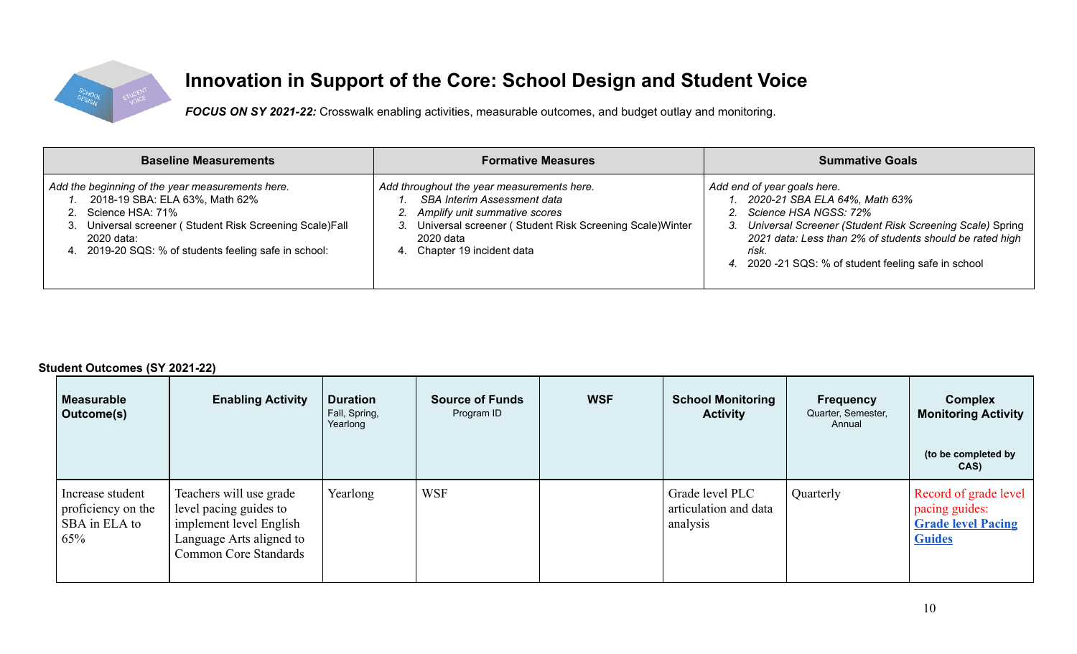

# **Innovation in Support of the Core: School Design and Student Voice**

*FOCUS ON SY 2021-22:* Crosswalk enabling activities, measurable outcomes, and budget outlay and monitoring.

| <b>Baseline Measurements</b>                                                                                                                                                                                                                  | <b>Formative Measures</b>                                                                                                                                                                                                 | <b>Summative Goals</b>                                                                                                                                                                                                                                                                  |
|-----------------------------------------------------------------------------------------------------------------------------------------------------------------------------------------------------------------------------------------------|---------------------------------------------------------------------------------------------------------------------------------------------------------------------------------------------------------------------------|-----------------------------------------------------------------------------------------------------------------------------------------------------------------------------------------------------------------------------------------------------------------------------------------|
| Add the beginning of the year measurements here.<br>2018-19 SBA: ELA 63%, Math 62%<br>Science HSA: 71%<br>Universal screener (Student Risk Screening Scale) Fall<br>3.<br>2020 data:<br>4. 2019-20 SQS: % of students feeling safe in school: | Add throughout the year measurements here.<br><b>SBA Interim Assessment data</b><br>2. Amplify unit summative scores<br>Universal screener (Student Risk Screening Scale) Winter<br>2020 data<br>Chapter 19 incident data | Add end of year goals here.<br>1. 2020-21 SBA ELA 64%, Math 63%<br>2. Science HSA NGSS: 72%<br>3. Universal Screener (Student Risk Screening Scale) Spring<br>2021 data: Less than 2% of students should be rated high<br>risk.<br>4. 2020 -21 SQS: % of student feeling safe in school |

**Student Outcomes (SY 2021-22)**

| <b>Measurable</b><br>Outcome(s)                                | <b>Enabling Activity</b>                                                                                                                 | <b>Duration</b><br>Fall, Spring,<br>Yearlong | <b>Source of Funds</b><br>Program ID | <b>WSF</b> | <b>School Monitoring</b><br><b>Activity</b>          | <b>Frequency</b><br>Quarter, Semester,<br>Annual | <b>Complex</b><br><b>Monitoring Activity</b><br>(to be completed by<br>CAS)           |
|----------------------------------------------------------------|------------------------------------------------------------------------------------------------------------------------------------------|----------------------------------------------|--------------------------------------|------------|------------------------------------------------------|--------------------------------------------------|---------------------------------------------------------------------------------------|
| Increase student<br>proficiency on the<br>SBA in ELA to<br>65% | Teachers will use grade<br>level pacing guides to<br>implement level English<br>Language Arts aligned to<br><b>Common Core Standards</b> | Yearlong                                     | <b>WSF</b>                           |            | Grade level PLC<br>articulation and data<br>analysis | Quarterly                                        | Record of grade level<br>pacing guides:<br><b>Grade level Pacing</b><br><b>Guides</b> |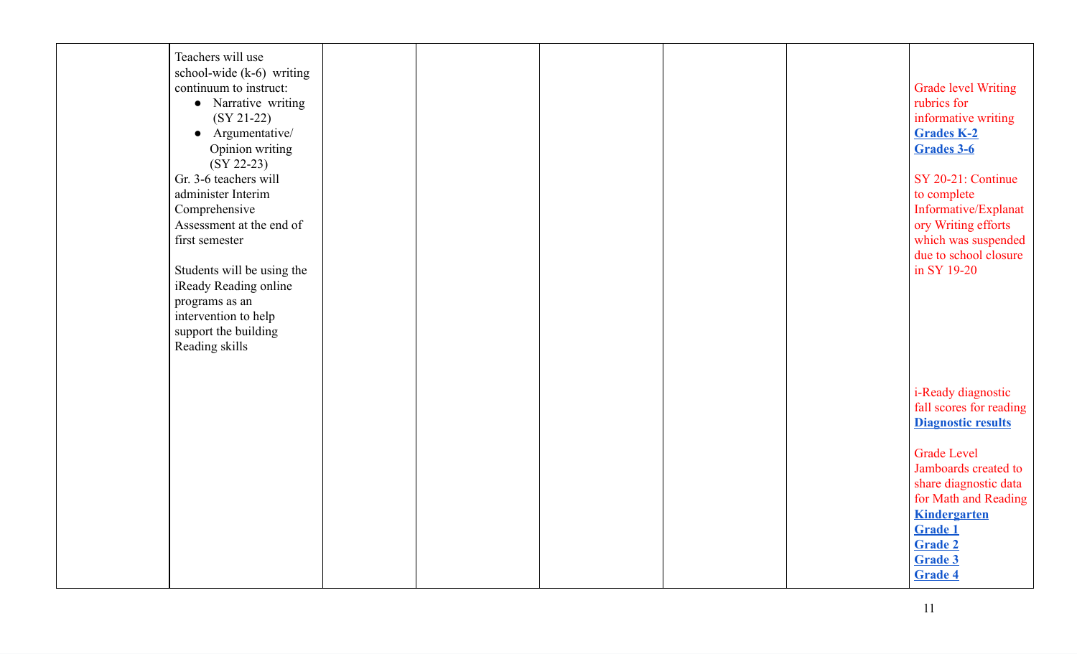| Teachers will use          |  |  |                            |
|----------------------------|--|--|----------------------------|
| school-wide (k-6) writing  |  |  |                            |
| continuum to instruct:     |  |  | <b>Grade level Writing</b> |
|                            |  |  |                            |
| • Narrative writing        |  |  | rubrics for                |
| $(SY 21-22)$               |  |  | informative writing        |
| • Argumentative/           |  |  | <b>Grades K-2</b>          |
| Opinion writing            |  |  | Grades 3-6                 |
| $(SY 22-23)$               |  |  |                            |
| Gr. 3-6 teachers will      |  |  | SY 20-21: Continue         |
| administer Interim         |  |  |                            |
|                            |  |  | to complete                |
| Comprehensive              |  |  | Informative/Explanat       |
| Assessment at the end of   |  |  | ory Writing efforts        |
| first semester             |  |  | which was suspended        |
|                            |  |  | due to school closure      |
| Students will be using the |  |  | in SY 19-20                |
| iReady Reading online      |  |  |                            |
| programs as an             |  |  |                            |
|                            |  |  |                            |
| intervention to help       |  |  |                            |
| support the building       |  |  |                            |
| Reading skills             |  |  |                            |
|                            |  |  |                            |
|                            |  |  |                            |
|                            |  |  | <i>i</i> -Ready diagnostic |
|                            |  |  | fall scores for reading    |
|                            |  |  | <b>Diagnostic results</b>  |
|                            |  |  |                            |
|                            |  |  |                            |
|                            |  |  | <b>Grade Level</b>         |
|                            |  |  | Jamboards created to       |
|                            |  |  | share diagnostic data      |
|                            |  |  | for Math and Reading       |
|                            |  |  | <b>Kindergarten</b>        |
|                            |  |  | <b>Grade 1</b>             |
|                            |  |  | Grade 2                    |
|                            |  |  | <b>Grade 3</b>             |
|                            |  |  |                            |
|                            |  |  | <b>Grade 4</b>             |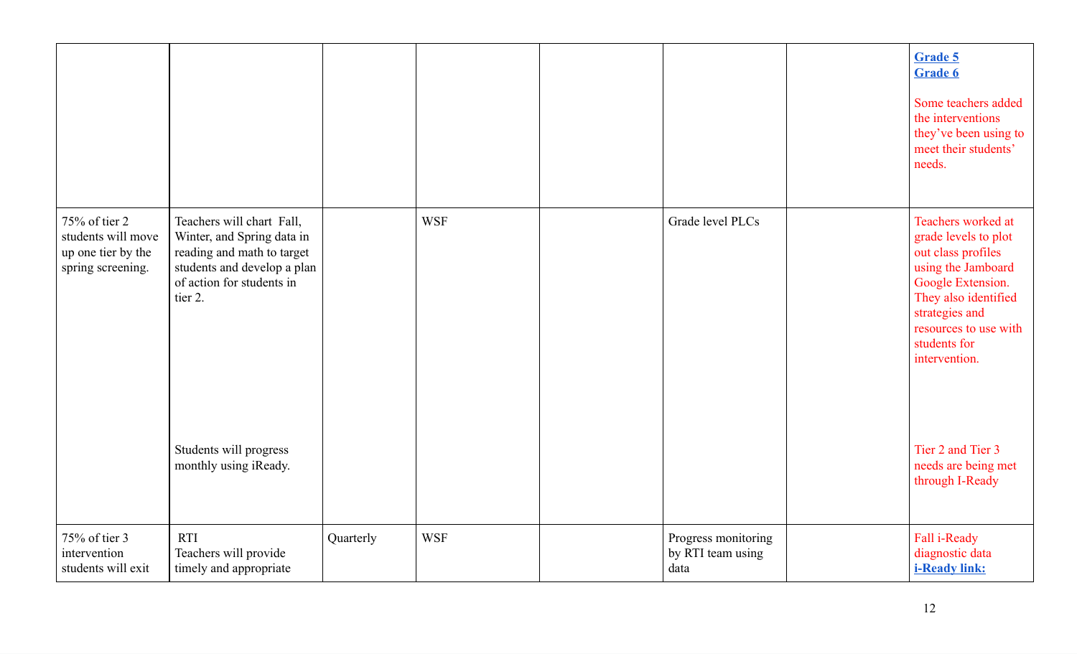|                                                                                |                                                                                                                                                              |           |            |                                                  | <b>Grade 5</b><br>Grade 6<br>Some teachers added<br>the interventions<br>they've been using to<br>meet their students'<br>needs.                                                                                |
|--------------------------------------------------------------------------------|--------------------------------------------------------------------------------------------------------------------------------------------------------------|-----------|------------|--------------------------------------------------|-----------------------------------------------------------------------------------------------------------------------------------------------------------------------------------------------------------------|
| 75% of tier 2<br>students will move<br>up one tier by the<br>spring screening. | Teachers will chart Fall,<br>Winter, and Spring data in<br>reading and math to target<br>students and develop a plan<br>of action for students in<br>tier 2. |           | <b>WSF</b> | Grade level PLCs                                 | Teachers worked at<br>grade levels to plot<br>out class profiles<br>using the Jamboard<br>Google Extension.<br>They also identified<br>strategies and<br>resources to use with<br>students for<br>intervention. |
|                                                                                | Students will progress<br>monthly using iReady.                                                                                                              |           |            |                                                  | Tier 2 and Tier 3<br>needs are being met<br>through I-Ready                                                                                                                                                     |
| 75% of tier 3<br>intervention<br>students will exit                            | <b>RTI</b><br>Teachers will provide<br>timely and appropriate                                                                                                | Quarterly | <b>WSF</b> | Progress monitoring<br>by RTI team using<br>data | Fall i-Ready<br>diagnostic data<br><b>i-Ready link:</b>                                                                                                                                                         |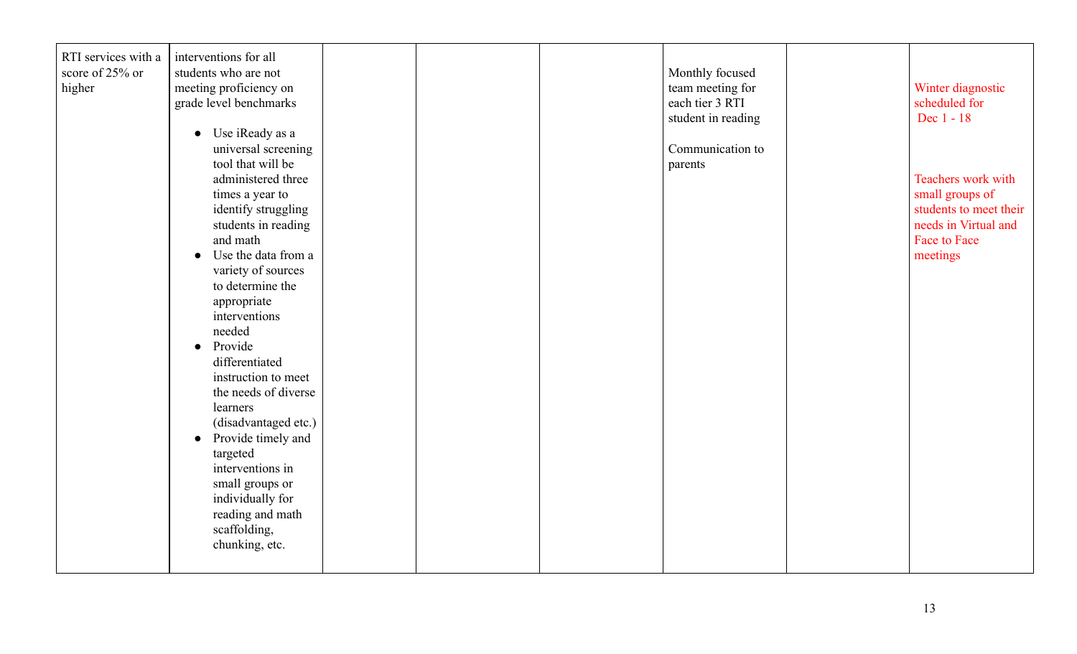| RTI services with a | interventions for all            |  |                    |                        |
|---------------------|----------------------------------|--|--------------------|------------------------|
| score of 25% or     | students who are not             |  | Monthly focused    |                        |
| higher              | meeting proficiency on           |  | team meeting for   | Winter diagnostic      |
|                     | grade level benchmarks           |  | each tier 3 RTI    | scheduled for          |
|                     |                                  |  | student in reading | Dec 1 - 18             |
|                     | • Use iReady as a                |  |                    |                        |
|                     | universal screening              |  | Communication to   |                        |
|                     | tool that will be                |  |                    |                        |
|                     |                                  |  | parents            |                        |
|                     | administered three               |  |                    | Teachers work with     |
|                     | times a year to                  |  |                    | small groups of        |
|                     | identify struggling              |  |                    | students to meet their |
|                     | students in reading              |  |                    | needs in Virtual and   |
|                     | and math                         |  |                    | Face to Face           |
|                     | Use the data from a<br>$\bullet$ |  |                    | meetings               |
|                     | variety of sources               |  |                    |                        |
|                     | to determine the                 |  |                    |                        |
|                     | appropriate                      |  |                    |                        |
|                     | interventions                    |  |                    |                        |
|                     | needed                           |  |                    |                        |
|                     | Provide                          |  |                    |                        |
|                     | $\bullet$                        |  |                    |                        |
|                     | differentiated                   |  |                    |                        |
|                     | instruction to meet              |  |                    |                        |
|                     | the needs of diverse             |  |                    |                        |
|                     | learners                         |  |                    |                        |
|                     | (disadvantaged etc.)             |  |                    |                        |
|                     | Provide timely and<br>$\bullet$  |  |                    |                        |
|                     | targeted                         |  |                    |                        |
|                     | interventions in                 |  |                    |                        |
|                     | small groups or                  |  |                    |                        |
|                     | individually for                 |  |                    |                        |
|                     | reading and math                 |  |                    |                        |
|                     |                                  |  |                    |                        |
|                     | scaffolding,                     |  |                    |                        |
|                     | chunking, etc.                   |  |                    |                        |
|                     |                                  |  |                    |                        |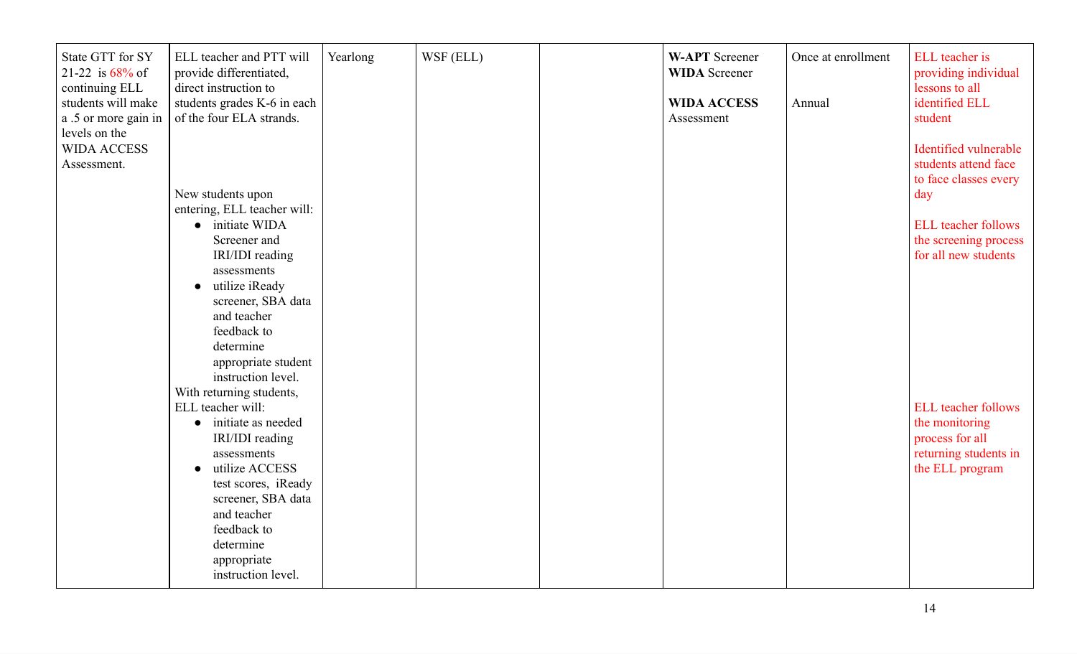| State GTT for SY<br>21-22 is $68\%$ of<br>continuing ELL<br>students will make<br>a .5 or more gain in<br>levels on the | ELL teacher and PTT will<br>provide differentiated,<br>direct instruction to<br>students grades K-6 in each<br>of the four ELA strands. | Yearlong | WSF (ELL) | <b>W-APT</b> Screener<br><b>WIDA</b> Screener<br><b>WIDA ACCESS</b><br>Assessment | Once at enrollment<br>Annual | ELL teacher is<br>providing individual<br>lessons to all<br>identified ELL<br>student |
|-------------------------------------------------------------------------------------------------------------------------|-----------------------------------------------------------------------------------------------------------------------------------------|----------|-----------|-----------------------------------------------------------------------------------|------------------------------|---------------------------------------------------------------------------------------|
| <b>WIDA ACCESS</b><br>Assessment.                                                                                       | New students upon                                                                                                                       |          |           |                                                                                   |                              | Identified vulnerable<br>students attend face<br>to face classes every<br>day         |
|                                                                                                                         | entering, ELL teacher will:                                                                                                             |          |           |                                                                                   |                              |                                                                                       |
|                                                                                                                         | • initiate WIDA                                                                                                                         |          |           |                                                                                   |                              | <b>ELL</b> teacher follows                                                            |
|                                                                                                                         | Screener and                                                                                                                            |          |           |                                                                                   |                              | the screening process                                                                 |
|                                                                                                                         | IRI/IDI reading                                                                                                                         |          |           |                                                                                   |                              | for all new students                                                                  |
|                                                                                                                         | assessments                                                                                                                             |          |           |                                                                                   |                              |                                                                                       |
|                                                                                                                         | utilize iReady<br>$\bullet$                                                                                                             |          |           |                                                                                   |                              |                                                                                       |
|                                                                                                                         | screener, SBA data<br>and teacher                                                                                                       |          |           |                                                                                   |                              |                                                                                       |
|                                                                                                                         | feedback to                                                                                                                             |          |           |                                                                                   |                              |                                                                                       |
|                                                                                                                         | determine                                                                                                                               |          |           |                                                                                   |                              |                                                                                       |
|                                                                                                                         | appropriate student                                                                                                                     |          |           |                                                                                   |                              |                                                                                       |
|                                                                                                                         | instruction level.                                                                                                                      |          |           |                                                                                   |                              |                                                                                       |
|                                                                                                                         | With returning students,                                                                                                                |          |           |                                                                                   |                              |                                                                                       |
|                                                                                                                         | ELL teacher will:                                                                                                                       |          |           |                                                                                   |                              | <b>ELL</b> teacher follows                                                            |
|                                                                                                                         | initiate as needed<br>$\bullet$                                                                                                         |          |           |                                                                                   |                              | the monitoring                                                                        |
|                                                                                                                         | IRI/IDI reading                                                                                                                         |          |           |                                                                                   |                              | process for all                                                                       |
|                                                                                                                         | assessments                                                                                                                             |          |           |                                                                                   |                              | returning students in                                                                 |
|                                                                                                                         | utilize ACCESS                                                                                                                          |          |           |                                                                                   |                              | the ELL program                                                                       |
|                                                                                                                         | test scores, iReady                                                                                                                     |          |           |                                                                                   |                              |                                                                                       |
|                                                                                                                         | screener, SBA data                                                                                                                      |          |           |                                                                                   |                              |                                                                                       |
|                                                                                                                         | and teacher                                                                                                                             |          |           |                                                                                   |                              |                                                                                       |
|                                                                                                                         | feedback to                                                                                                                             |          |           |                                                                                   |                              |                                                                                       |
|                                                                                                                         | determine<br>appropriate                                                                                                                |          |           |                                                                                   |                              |                                                                                       |
|                                                                                                                         | instruction level.                                                                                                                      |          |           |                                                                                   |                              |                                                                                       |
|                                                                                                                         |                                                                                                                                         |          |           |                                                                                   |                              |                                                                                       |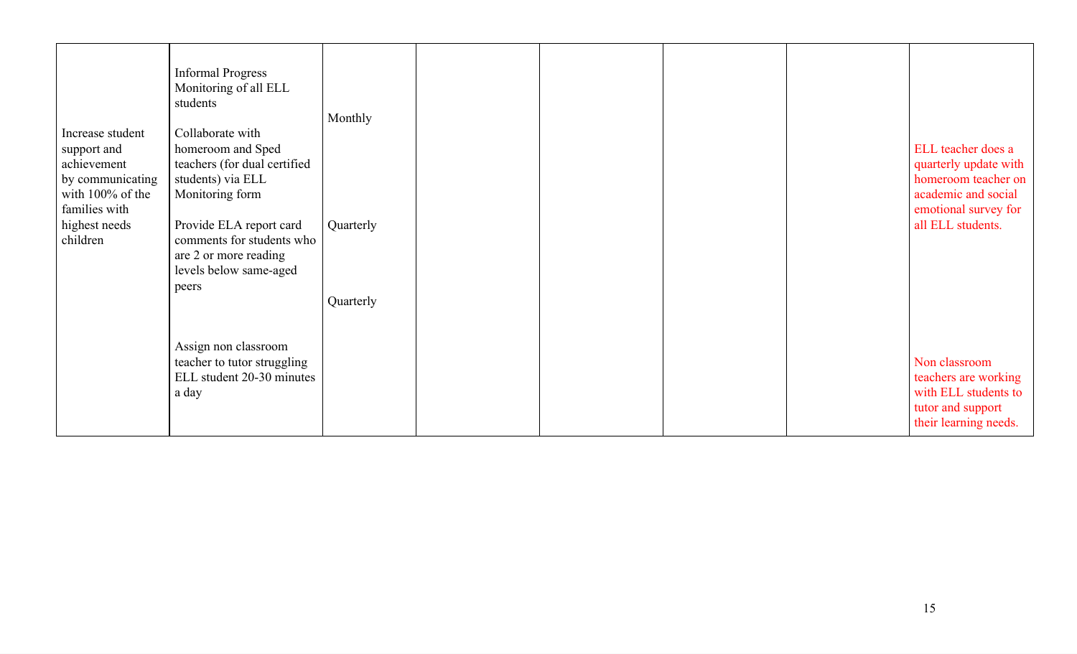| Increase student<br>support and<br>achievement<br>by communicating<br>with 100% of the<br>families with<br>highest needs<br>children | <b>Informal Progress</b><br>Monitoring of all ELL<br>students<br>Collaborate with<br>homeroom and Sped<br>teachers (for dual certified<br>students) via ELL<br>Monitoring form<br>Provide ELA report card<br>comments for students who<br>are 2 or more reading<br>levels below same-aged<br>peers | Monthly<br>Quarterly<br>Quarterly |  |  | ELL teacher does a<br>quarterly update with<br>homeroom teacher on<br>academic and social<br>emotional survey for<br>all ELL students. |
|--------------------------------------------------------------------------------------------------------------------------------------|----------------------------------------------------------------------------------------------------------------------------------------------------------------------------------------------------------------------------------------------------------------------------------------------------|-----------------------------------|--|--|----------------------------------------------------------------------------------------------------------------------------------------|
|                                                                                                                                      | Assign non classroom<br>teacher to tutor struggling<br>ELL student 20-30 minutes<br>a day                                                                                                                                                                                                          |                                   |  |  | Non classroom<br>teachers are working<br>with ELL students to<br>tutor and support<br>their learning needs.                            |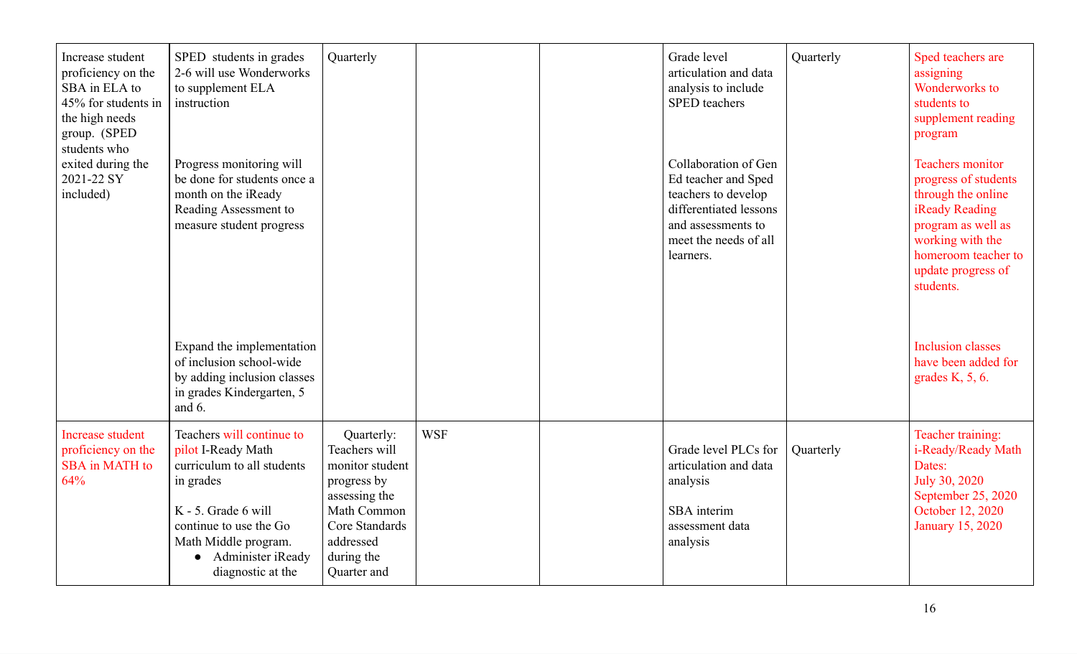| Increase student<br>proficiency on the<br>SBA in ELA to<br>45% for students in<br>the high needs<br>group. (SPED<br>students who | SPED students in grades<br>2-6 will use Wonderworks<br>to supplement ELA<br>instruction                                                                                                                         | Quarterly                                                                                                                                                 |            | Grade level<br>articulation and data<br>analysis to include<br><b>SPED</b> teachers                                                                      | Quarterly | Sped teachers are<br>assigning<br>Wonderworks to<br>students to<br>supplement reading<br>program                                                                                            |
|----------------------------------------------------------------------------------------------------------------------------------|-----------------------------------------------------------------------------------------------------------------------------------------------------------------------------------------------------------------|-----------------------------------------------------------------------------------------------------------------------------------------------------------|------------|----------------------------------------------------------------------------------------------------------------------------------------------------------|-----------|---------------------------------------------------------------------------------------------------------------------------------------------------------------------------------------------|
| exited during the<br>2021-22 SY<br>included)                                                                                     | Progress monitoring will<br>be done for students once a<br>month on the iReady<br>Reading Assessment to<br>measure student progress                                                                             |                                                                                                                                                           |            | Collaboration of Gen<br>Ed teacher and Sped<br>teachers to develop<br>differentiated lessons<br>and assessments to<br>meet the needs of all<br>learners. |           | <b>Teachers monitor</b><br>progress of students<br>through the online<br>iReady Reading<br>program as well as<br>working with the<br>homeroom teacher to<br>update progress of<br>students. |
|                                                                                                                                  | Expand the implementation<br>of inclusion school-wide<br>by adding inclusion classes<br>in grades Kindergarten, 5<br>and 6.                                                                                     |                                                                                                                                                           |            |                                                                                                                                                          |           | <b>Inclusion classes</b><br>have been added for<br>grades $K$ , 5, 6.                                                                                                                       |
| <b>Increase student</b><br>proficiency on the<br>SBA in MATH to<br>64%                                                           | Teachers will continue to<br>pilot I-Ready Math<br>curriculum to all students<br>in grades<br>K - 5. Grade 6 will<br>continue to use the Go<br>Math Middle program.<br>• Administer iReady<br>diagnostic at the | Quarterly:<br>Teachers will<br>monitor student<br>progress by<br>assessing the<br>Math Common<br>Core Standards<br>addressed<br>during the<br>Quarter and | <b>WSF</b> | Grade level PLCs for<br>articulation and data<br>analysis<br>SBA interim<br>assessment data<br>analysis                                                  | Quarterly | Teacher training:<br>i-Ready/Ready Math<br>Dates:<br>July 30, 2020<br>September 25, 2020<br>October 12, 2020<br><b>January 15, 2020</b>                                                     |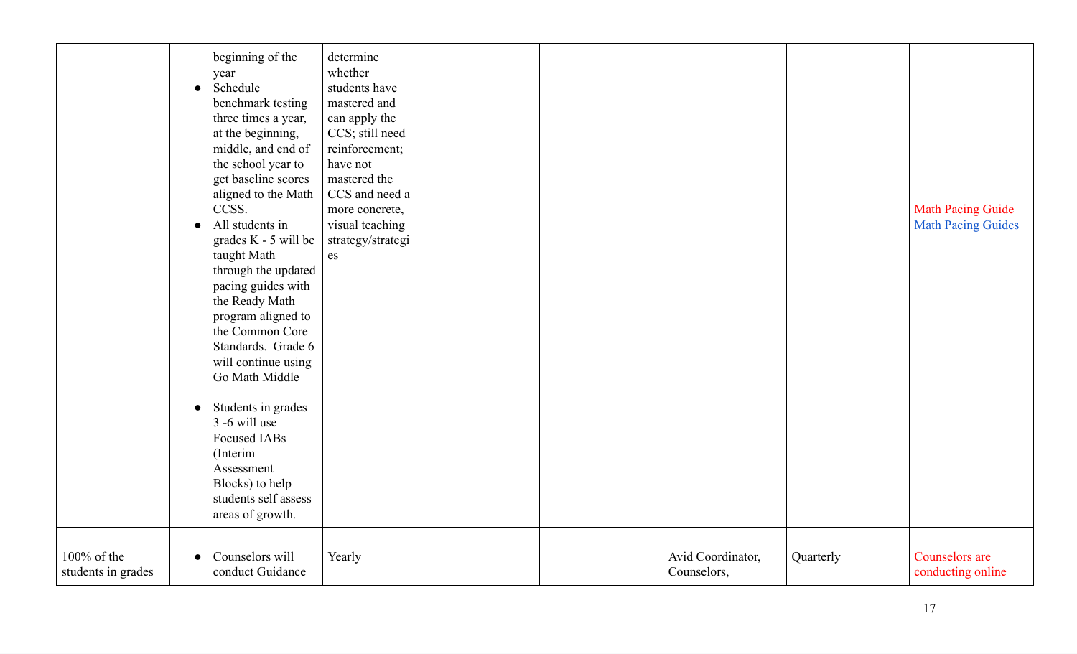|                                   | beginning of the<br>year<br>Schedule<br>$\bullet$<br>benchmark testing<br>three times a year,<br>at the beginning,<br>middle, and end of<br>the school year to<br>get baseline scores<br>aligned to the Math<br>CCSS.<br>All students in<br>$\bullet$<br>grades K - 5 will be<br>taught Math<br>through the updated<br>pacing guides with<br>the Ready Math<br>program aligned to<br>the Common Core<br>Standards. Grade 6<br>will continue using<br>Go Math Middle<br>Students in grades<br>$\bullet$<br>$3 - 6$ will use<br>Focused IABs<br>(Interim<br>Assessment<br>Blocks) to help<br>students self assess<br>areas of growth. | determine<br>whether<br>students have<br>mastered and<br>can apply the<br>CCS; still need<br>reinforcement;<br>have not<br>mastered the<br>CCS and need a<br>more concrete,<br>visual teaching<br>strategy/strategi<br>es |  |                                  |           | <b>Math Pacing Guide</b><br><b>Math Pacing Guides</b> |
|-----------------------------------|-------------------------------------------------------------------------------------------------------------------------------------------------------------------------------------------------------------------------------------------------------------------------------------------------------------------------------------------------------------------------------------------------------------------------------------------------------------------------------------------------------------------------------------------------------------------------------------------------------------------------------------|---------------------------------------------------------------------------------------------------------------------------------------------------------------------------------------------------------------------------|--|----------------------------------|-----------|-------------------------------------------------------|
| 100% of the<br>students in grades | Counselors will<br>$\bullet$<br>conduct Guidance                                                                                                                                                                                                                                                                                                                                                                                                                                                                                                                                                                                    | Yearly                                                                                                                                                                                                                    |  | Avid Coordinator,<br>Counselors, | Quarterly | Counselors are<br>conducting online                   |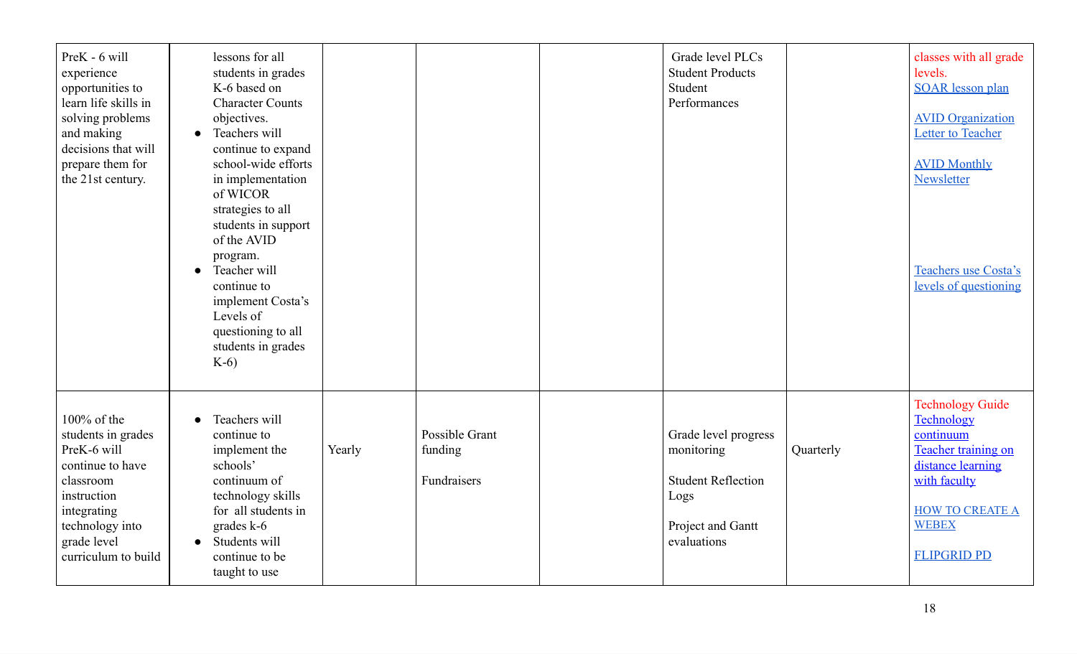| PreK - 6 will<br>experience<br>opportunities to<br>learn life skills in<br>solving problems<br>and making<br>decisions that will<br>prepare them for<br>the 21st century. | lessons for all<br>students in grades<br>K-6 based on<br><b>Character Counts</b><br>objectives.<br>• Teachers will<br>continue to expand<br>school-wide efforts<br>in implementation<br>of WICOR<br>strategies to all<br>students in support<br>of the AVID<br>program.<br>Teacher will<br>$\bullet$<br>continue to<br>implement Costa's<br>Levels of<br>questioning to all<br>students in grades<br>$K-6$ |        |                                          | Grade level PLCs<br><b>Student Products</b><br>Student<br>Performances                                      |           | classes with all grade<br>levels.<br><b>SOAR</b> lesson plan<br><b>AVID Organization</b><br>Letter to Teacher<br><b>AVID Monthly</b><br>Newsletter<br>Teachers use Costa's<br>levels of questioning |
|---------------------------------------------------------------------------------------------------------------------------------------------------------------------------|------------------------------------------------------------------------------------------------------------------------------------------------------------------------------------------------------------------------------------------------------------------------------------------------------------------------------------------------------------------------------------------------------------|--------|------------------------------------------|-------------------------------------------------------------------------------------------------------------|-----------|-----------------------------------------------------------------------------------------------------------------------------------------------------------------------------------------------------|
| 100% of the<br>students in grades<br>PreK-6 will<br>continue to have<br>classroom<br>instruction<br>integrating<br>technology into<br>grade level<br>curriculum to build  | Teachers will<br>continue to<br>implement the<br>schools'<br>continuum of<br>technology skills<br>for all students in<br>grades k-6<br>• Students will<br>continue to be<br>taught to use                                                                                                                                                                                                                  | Yearly | Possible Grant<br>funding<br>Fundraisers | Grade level progress<br>monitoring<br><b>Student Reflection</b><br>Logs<br>Project and Gantt<br>evaluations | Quarterly | <b>Technology Guide</b><br>Technology<br>continuum<br>Teacher training on<br>distance learning<br>with faculty<br><b>HOW TO CREATE A</b><br><b>WEBEX</b><br><b>FLIPGRID PD</b>                      |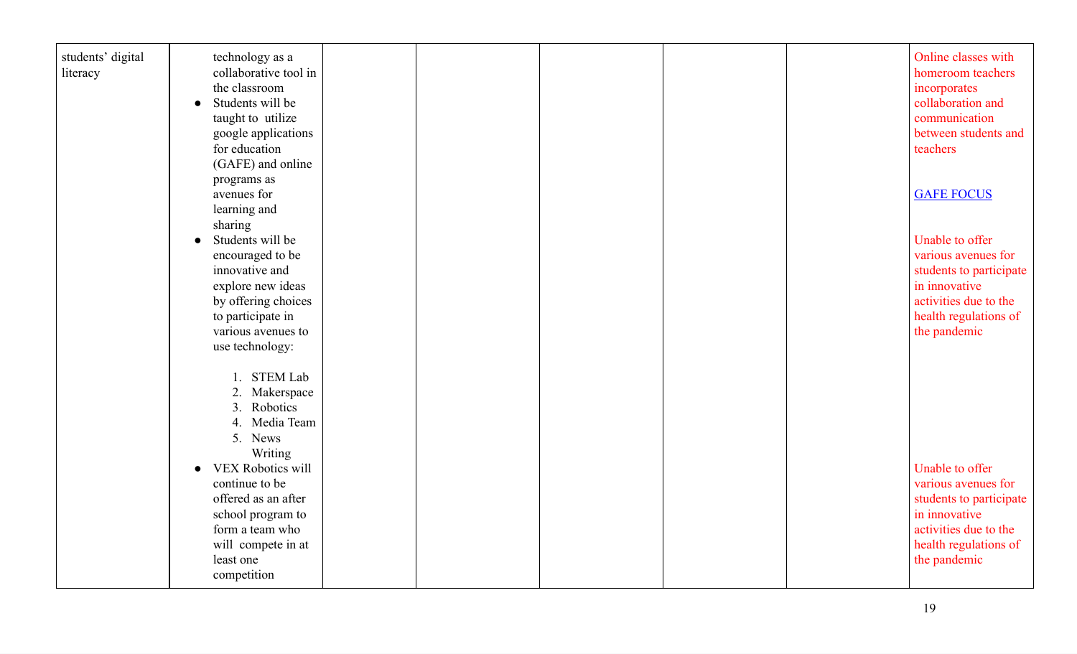| students' digital<br>literacy | technology as a<br>collaborative tool in<br>the classroom<br>Students will be<br>$\bullet$<br>taught to utilize<br>google applications<br>for education<br>(GAFE) and online                                                                                  |  |  | Online classes with<br>homeroom teachers<br>incorporates<br>collaboration and<br>communication<br>between students and<br>teachers                   |
|-------------------------------|---------------------------------------------------------------------------------------------------------------------------------------------------------------------------------------------------------------------------------------------------------------|--|--|------------------------------------------------------------------------------------------------------------------------------------------------------|
|                               | programs as<br>avenues for<br>learning and                                                                                                                                                                                                                    |  |  | <b>GAFE FOCUS</b>                                                                                                                                    |
|                               | sharing<br>Students will be<br>encouraged to be<br>innovative and<br>explore new ideas<br>by offering choices<br>to participate in<br>various avenues to<br>use technology:                                                                                   |  |  | Unable to offer<br>various avenues for<br>students to participate<br>in innovative<br>activities due to the<br>health regulations of<br>the pandemic |
|                               | 1. STEM Lab<br>2. Makerspace<br>Robotics<br>3.<br>Media Team<br>4.<br>5. News<br>Writing<br>VEX Robotics will<br>$\bullet$<br>continue to be<br>offered as an after<br>school program to<br>form a team who<br>will compete in at<br>least one<br>competition |  |  | Unable to offer<br>various avenues for<br>students to participate<br>in innovative<br>activities due to the<br>health regulations of<br>the pandemic |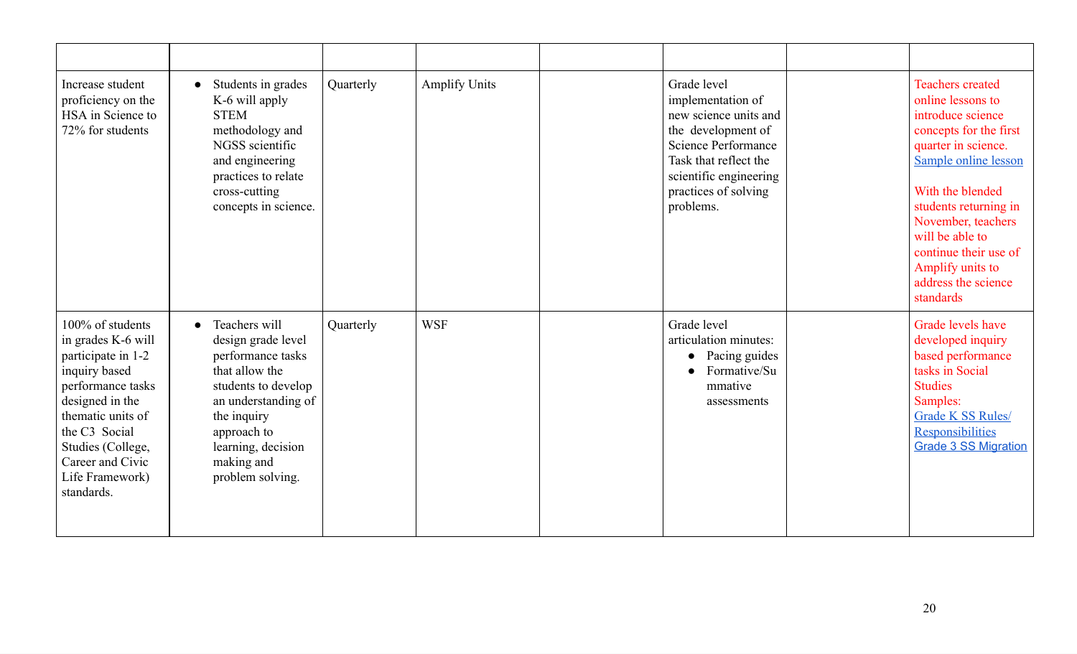| Increase student<br>proficiency on the<br>HSA in Science to<br>72% for students                                                                                                                                                       | Students in grades<br>K-6 will apply<br><b>STEM</b><br>methodology and<br>NGSS scientific<br>and engineering<br>practices to relate<br>cross-cutting<br>concepts in science.                                   | Quarterly | <b>Amplify Units</b> | Grade level<br>implementation of<br>new science units and<br>the development of<br>Science Performance<br>Task that reflect the<br>scientific engineering<br>practices of solving<br>problems. | <b>Teachers</b> created<br>online lessons to<br>introduce science<br>concepts for the first<br>quarter in science.<br>Sample online lesson<br>With the blended<br>students returning in<br>November, teachers<br>will be able to<br>continue their use of<br>Amplify units to<br>address the science<br>standards |
|---------------------------------------------------------------------------------------------------------------------------------------------------------------------------------------------------------------------------------------|----------------------------------------------------------------------------------------------------------------------------------------------------------------------------------------------------------------|-----------|----------------------|------------------------------------------------------------------------------------------------------------------------------------------------------------------------------------------------|-------------------------------------------------------------------------------------------------------------------------------------------------------------------------------------------------------------------------------------------------------------------------------------------------------------------|
| 100% of students<br>in grades K-6 will<br>participate in 1-2<br>inquiry based<br>performance tasks<br>designed in the<br>thematic units of<br>the C3 Social<br>Studies (College,<br>Career and Civic<br>Life Framework)<br>standards. | Teachers will<br>design grade level<br>performance tasks<br>that allow the<br>students to develop<br>an understanding of<br>the inquiry<br>approach to<br>learning, decision<br>making and<br>problem solving. | Quarterly | <b>WSF</b>           | Grade level<br>articulation minutes:<br>Pacing guides<br>$\bullet$<br>Formative/Su<br>mmative<br>assessments                                                                                   | Grade levels have<br>developed inquiry<br>based performance<br>tasks in Social<br><b>Studies</b><br>Samples:<br><b>Grade K SS Rules/</b><br>Responsibilities<br><b>Grade 3 SS Migration</b>                                                                                                                       |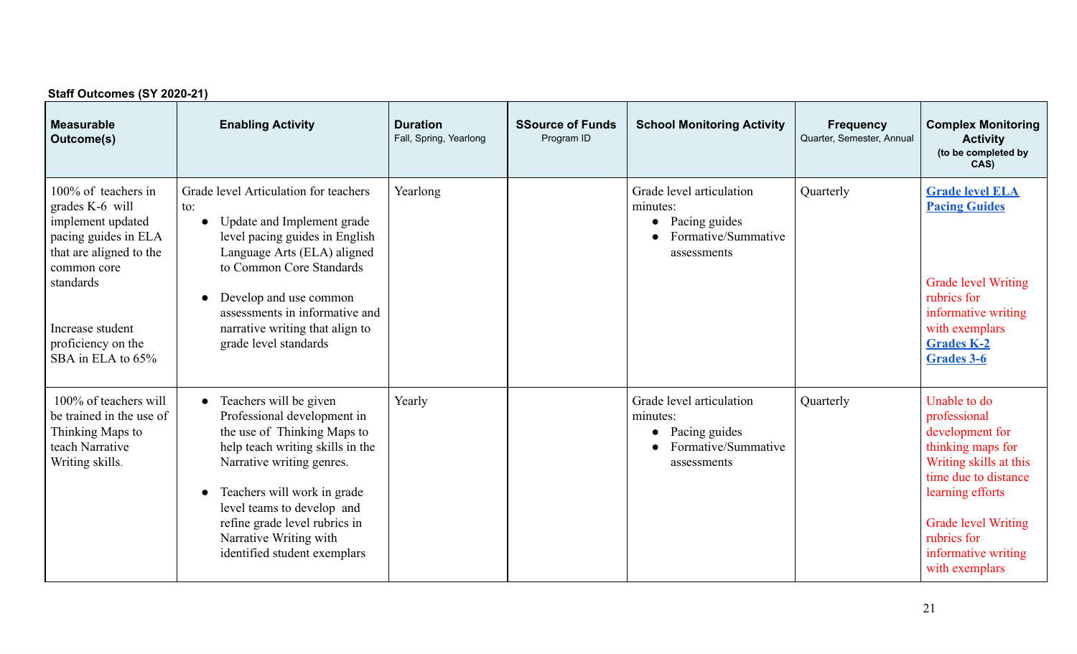| Staff Outcomes (SY 2020-21)                                                                                                                                                                               |                                                                                                                                                                                                                                                                                                                            |                                           |                                       |                                                                                                          |                                               |                                                                                                                                                                                                                                  |  |  |  |  |
|-----------------------------------------------------------------------------------------------------------------------------------------------------------------------------------------------------------|----------------------------------------------------------------------------------------------------------------------------------------------------------------------------------------------------------------------------------------------------------------------------------------------------------------------------|-------------------------------------------|---------------------------------------|----------------------------------------------------------------------------------------------------------|-----------------------------------------------|----------------------------------------------------------------------------------------------------------------------------------------------------------------------------------------------------------------------------------|--|--|--|--|
| <b>Measurable</b><br>Outcome(s)                                                                                                                                                                           | <b>Enabling Activity</b>                                                                                                                                                                                                                                                                                                   | <b>Duration</b><br>Fall, Spring, Yearlong | <b>SSource of Funds</b><br>Program ID | <b>School Monitoring Activity</b>                                                                        | <b>Frequency</b><br>Quarter, Semester, Annual | <b>Complex Monitoring</b><br><b>Activity</b><br>(to be completed by<br>CAS)                                                                                                                                                      |  |  |  |  |
| 100% of teachers in<br>grades K-6 will<br>implement updated<br>pacing guides in ELA<br>that are aligned to the<br>common core<br>standards<br>Increase student<br>proficiency on the<br>SBA in ELA to 65% | Grade level Articulation for teachers<br>to:<br>Update and Implement grade<br>$\bullet$<br>level pacing guides in English<br>Language Arts (ELA) aligned<br>to Common Core Standards<br>Develop and use common<br>assessments in informative and<br>narrative writing that align to<br>grade level standards               | Yearlong                                  |                                       | Grade level articulation<br>minutes:<br>Pacing guides<br>$\bullet$<br>Formative/Summative<br>assessments | Quarterly                                     | <b>Grade level ELA</b><br><b>Pacing Guides</b><br><b>Grade level Writing</b><br>rubrics for<br>informative writing<br>with exemplars<br><b>Grades K-2</b><br><b>Grades 3-6</b>                                                   |  |  |  |  |
| 100% of teachers will<br>be trained in the use of<br>Thinking Maps to<br>teach Narrative<br>Writing skills.                                                                                               | Teachers will be given<br>$\bullet$<br>Professional development in<br>the use of Thinking Maps to<br>help teach writing skills in the<br>Narrative writing genres.<br>Teachers will work in grade<br>level teams to develop and<br>refine grade level rubrics in<br>Narrative Writing with<br>identified student exemplars | Yearly                                    |                                       | Grade level articulation<br>minutes:<br>Pacing guides<br>$\bullet$<br>Formative/Summative<br>assessments | Quarterly                                     | Unable to do<br>professional<br>development for<br>thinking maps for<br>Writing skills at this<br>time due to distance<br>learning efforts<br><b>Grade level Writing</b><br>rubrics for<br>informative writing<br>with exemplars |  |  |  |  |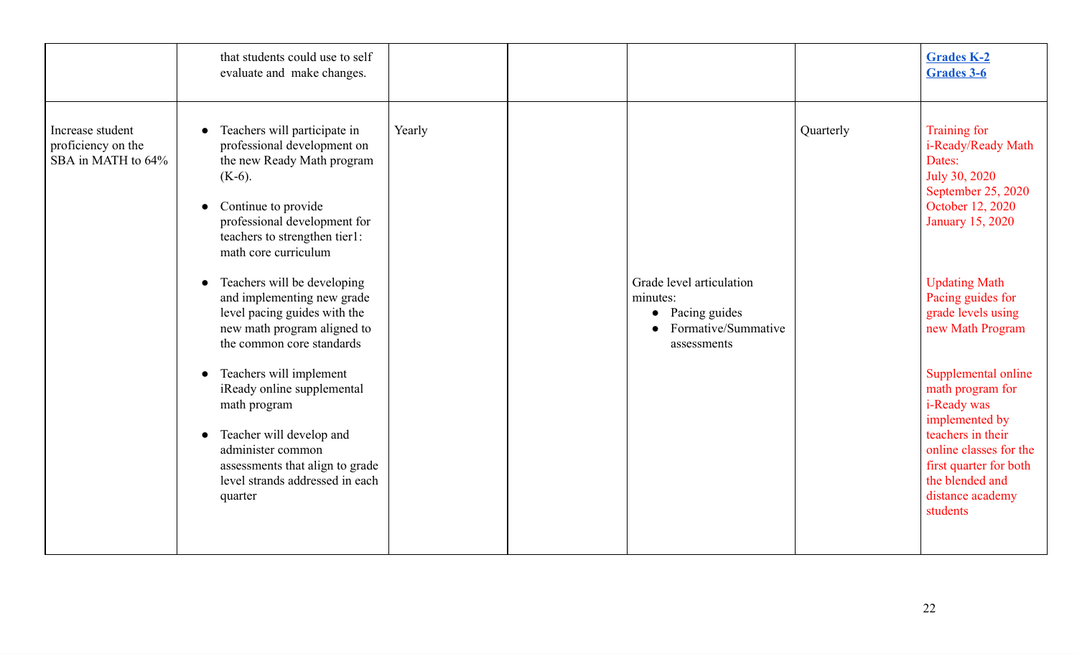|                                                              | that students could use to self<br>evaluate and make changes.                                                                                                                                                                                                                                                                                                                                                                                                                                                                                                                              |                                                                                                                    |           | <b>Grades K-2</b><br>Grades 3-6                                                                                                                                                                                                                                                                                                                                                                                                           |
|--------------------------------------------------------------|--------------------------------------------------------------------------------------------------------------------------------------------------------------------------------------------------------------------------------------------------------------------------------------------------------------------------------------------------------------------------------------------------------------------------------------------------------------------------------------------------------------------------------------------------------------------------------------------|--------------------------------------------------------------------------------------------------------------------|-----------|-------------------------------------------------------------------------------------------------------------------------------------------------------------------------------------------------------------------------------------------------------------------------------------------------------------------------------------------------------------------------------------------------------------------------------------------|
| Increase student<br>proficiency on the<br>SBA in MATH to 64% | Teachers will participate in<br>professional development on<br>the new Ready Math program<br>$(K-6)$ .<br>Continue to provide<br>professional development for<br>teachers to strengthen tier1:<br>math core curriculum<br>Teachers will be developing<br>and implementing new grade<br>level pacing guides with the<br>new math program aligned to<br>the common core standards<br>Teachers will implement<br>iReady online supplemental<br>math program<br>Teacher will develop and<br>administer common<br>assessments that align to grade<br>level strands addressed in each<br>quarter | Yearly<br>Grade level articulation<br>minutes:<br>Pacing guides<br>$\bullet$<br>Formative/Summative<br>assessments | Quarterly | Training for<br>i-Ready/Ready Math<br>Dates:<br>July 30, 2020<br>September 25, 2020<br>October 12, 2020<br><b>January 15, 2020</b><br><b>Updating Math</b><br>Pacing guides for<br>grade levels using<br>new Math Program<br>Supplemental online<br>math program for<br><i>i</i> -Ready was<br>implemented by<br>teachers in their<br>online classes for the<br>first quarter for both<br>the blended and<br>distance academy<br>students |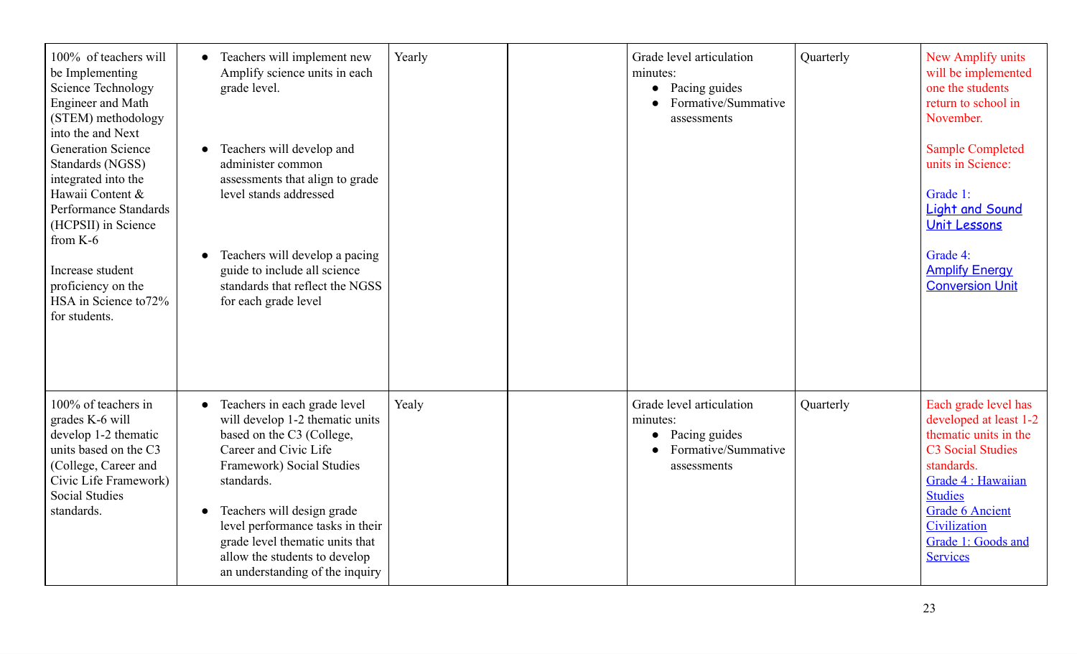| 100% of teachers will<br>be Implementing<br><b>Science Technology</b><br><b>Engineer</b> and Math<br>(STEM) methodology<br>into the and Next<br><b>Generation Science</b><br>Standards (NGSS)<br>integrated into the<br>Hawaii Content &<br>Performance Standards<br>(HCPSII) in Science<br>from K-6<br>Increase student<br>proficiency on the<br>HSA in Science to 72%<br>for students. | Teachers will implement new<br>Amplify science units in each<br>grade level.<br>Teachers will develop and<br>administer common<br>assessments that align to grade<br>level stands addressed<br>Teachers will develop a pacing<br>guide to include all science<br>standards that reflect the NGSS<br>for each grade level                               | Yearly | Grade level articulation<br>minutes:<br>Pacing guides<br>$\bullet$<br>Formative/Summative<br>assessments | Quarterly | New Amplify units<br>will be implemented<br>one the students<br>return to school in<br>November.<br><b>Sample Completed</b><br>units in Science:<br>Grade 1:<br><b>Light and Sound</b><br>Unit Lessons<br>Grade 4:<br><b>Amplify Energy</b><br><b>Conversion Unit</b> |
|------------------------------------------------------------------------------------------------------------------------------------------------------------------------------------------------------------------------------------------------------------------------------------------------------------------------------------------------------------------------------------------|--------------------------------------------------------------------------------------------------------------------------------------------------------------------------------------------------------------------------------------------------------------------------------------------------------------------------------------------------------|--------|----------------------------------------------------------------------------------------------------------|-----------|-----------------------------------------------------------------------------------------------------------------------------------------------------------------------------------------------------------------------------------------------------------------------|
| 100% of teachers in<br>grades K-6 will<br>develop 1-2 thematic<br>units based on the C3<br>(College, Career and<br>Civic Life Framework)<br><b>Social Studies</b><br>standards.                                                                                                                                                                                                          | Teachers in each grade level<br>$\bullet$<br>will develop 1-2 thematic units<br>based on the C3 (College,<br>Career and Civic Life<br>Framework) Social Studies<br>standards.<br>Teachers will design grade<br>level performance tasks in their<br>grade level thematic units that<br>allow the students to develop<br>an understanding of the inquiry | Yealy  | Grade level articulation<br>minutes:<br>Pacing guides<br>$\bullet$<br>Formative/Summative<br>assessments | Quarterly | Each grade level has<br>developed at least 1-2<br>thematic units in the<br><b>C3 Social Studies</b><br>standards.<br>Grade 4 : Hawaiian<br><b>Studies</b><br><b>Grade 6 Ancient</b><br>Civilization<br>Grade 1: Goods and<br><b>Services</b>                          |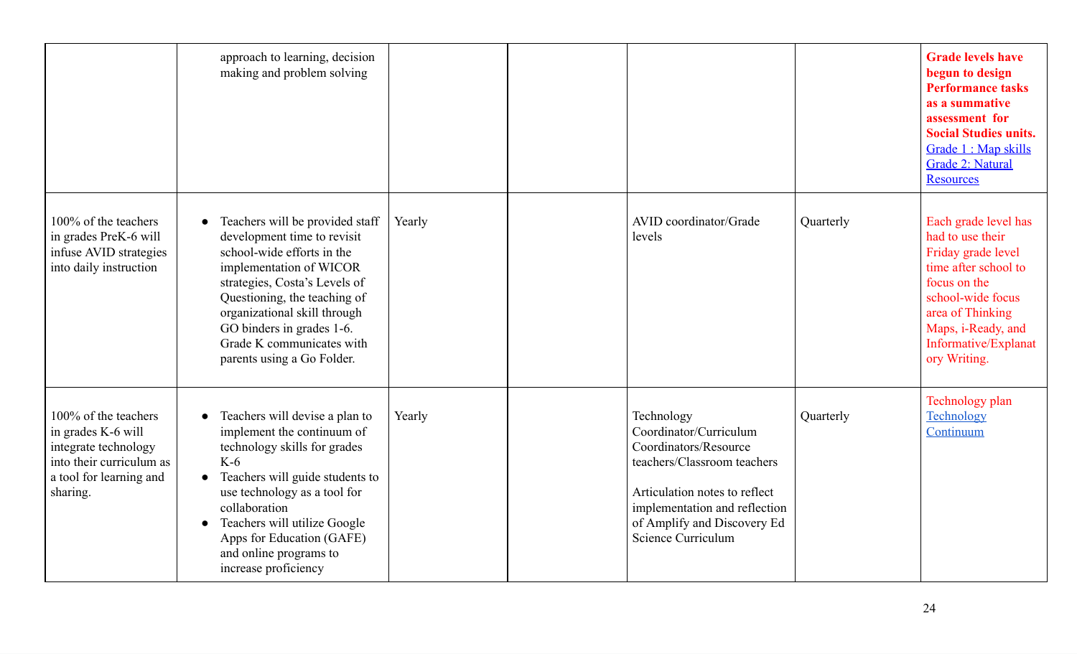|                                                                                                                                       | approach to learning, decision<br>making and problem solving                                                                                                                                                                                                                                                          |        |                                                                                                                                                                                                                     |           | <b>Grade levels have</b><br>begun to design<br><b>Performance tasks</b><br>as a summative<br>assessment for<br><b>Social Studies units.</b><br>Grade 1 : Map skills<br><b>Grade 2: Natural</b><br><b>Resources</b> |
|---------------------------------------------------------------------------------------------------------------------------------------|-----------------------------------------------------------------------------------------------------------------------------------------------------------------------------------------------------------------------------------------------------------------------------------------------------------------------|--------|---------------------------------------------------------------------------------------------------------------------------------------------------------------------------------------------------------------------|-----------|--------------------------------------------------------------------------------------------------------------------------------------------------------------------------------------------------------------------|
| 100% of the teachers<br>in grades PreK-6 will<br>infuse AVID strategies<br>into daily instruction                                     | Teachers will be provided staff<br>development time to revisit<br>school-wide efforts in the<br>implementation of WICOR<br>strategies, Costa's Levels of<br>Questioning, the teaching of<br>organizational skill through<br>GO binders in grades 1-6.<br>Grade K communicates with<br>parents using a Go Folder.      | Yearly | AVID coordinator/Grade<br>levels                                                                                                                                                                                    | Quarterly | Each grade level has<br>had to use their<br>Friday grade level<br>time after school to<br>focus on the<br>school-wide focus<br>area of Thinking<br>Maps, i-Ready, and<br>Informative/Explanat<br>ory Writing.      |
| 100% of the teachers<br>in grades K-6 will<br>integrate technology<br>into their curriculum as<br>a tool for learning and<br>sharing. | Teachers will devise a plan to<br>implement the continuum of<br>technology skills for grades<br>$K-6$<br>Teachers will guide students to<br>$\bullet$<br>use technology as a tool for<br>collaboration<br>Teachers will utilize Google<br>Apps for Education (GAFE)<br>and online programs to<br>increase proficiency | Yearly | Technology<br>Coordinator/Curriculum<br>Coordinators/Resource<br>teachers/Classroom teachers<br>Articulation notes to reflect<br>implementation and reflection<br>of Amplify and Discovery Ed<br>Science Curriculum | Quarterly | Technology plan<br>Technology<br>Continuum                                                                                                                                                                         |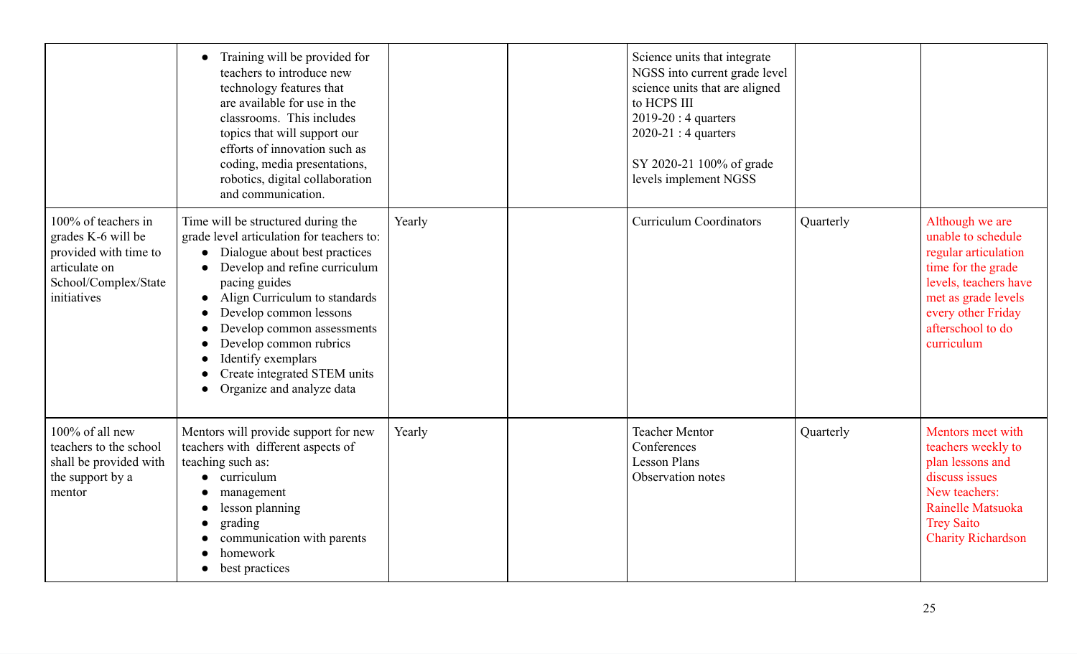|                                                                                                                            | Training will be provided for<br>teachers to introduce new<br>technology features that<br>are available for use in the<br>classrooms. This includes<br>topics that will support our<br>efforts of innovation such as<br>coding, media presentations,<br>robotics, digital collaboration<br>and communication.                                                            |        | Science units that integrate<br>NGSS into current grade level<br>science units that are aligned<br>to HCPS III<br>$2019-20:4$ quarters<br>$2020-21:4$ quarters<br>SY 2020-21 100% of grade<br>levels implement NGSS |           |                                                                                                                                                                                              |
|----------------------------------------------------------------------------------------------------------------------------|--------------------------------------------------------------------------------------------------------------------------------------------------------------------------------------------------------------------------------------------------------------------------------------------------------------------------------------------------------------------------|--------|---------------------------------------------------------------------------------------------------------------------------------------------------------------------------------------------------------------------|-----------|----------------------------------------------------------------------------------------------------------------------------------------------------------------------------------------------|
| 100% of teachers in<br>grades K-6 will be<br>provided with time to<br>articulate on<br>School/Complex/State<br>initiatives | Time will be structured during the<br>grade level articulation for teachers to:<br>Dialogue about best practices<br>Develop and refine curriculum<br>pacing guides<br>Align Curriculum to standards<br>Develop common lessons<br>Develop common assessments<br>Develop common rubrics<br>Identify exemplars<br>Create integrated STEM units<br>Organize and analyze data | Yearly | <b>Curriculum Coordinators</b>                                                                                                                                                                                      | Quarterly | Although we are<br>unable to schedule<br>regular articulation<br>time for the grade<br>levels, teachers have<br>met as grade levels<br>every other Friday<br>afterschool to do<br>curriculum |
| 100% of all new<br>teachers to the school<br>shall be provided with<br>the support by a<br>mentor                          | Mentors will provide support for new<br>teachers with different aspects of<br>teaching such as:<br>curriculum<br>$\bullet$<br>management<br>lesson planning<br>grading<br>communication with parents<br>homework<br>best practices                                                                                                                                       | Yearly | <b>Teacher Mentor</b><br>Conferences<br><b>Lesson Plans</b><br>Observation notes                                                                                                                                    | Quarterly | Mentors meet with<br>teachers weekly to<br>plan lessons and<br>discuss issues<br>New teachers:<br>Rainelle Matsuoka<br><b>Trey Saito</b><br><b>Charity Richardson</b>                        |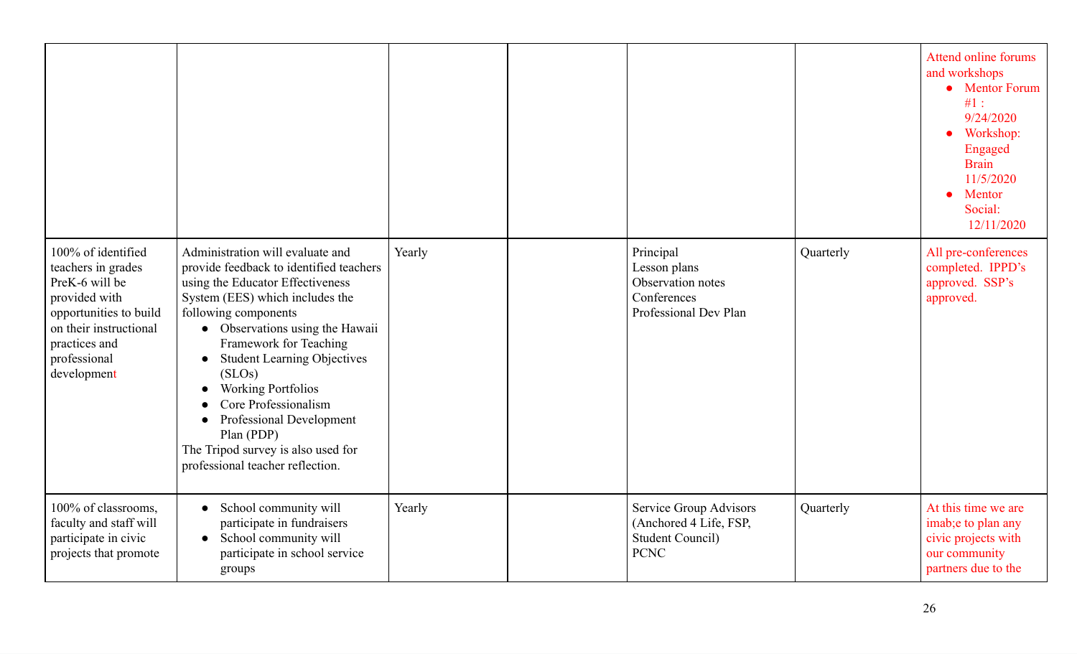|                                                                                                                                                                                 |                                                                                                                                                                                                                                                                                                                                                                                                                                                                  |        |                                                                                            |           | Attend online forums<br>and workshops<br>• Mentor Forum<br>#1:<br>9/24/2020<br>Workshop:<br>$\bullet$<br>Engaged<br><b>Brain</b><br>11/5/2020<br>Mentor<br>Social:<br>12/11/2020 |
|---------------------------------------------------------------------------------------------------------------------------------------------------------------------------------|------------------------------------------------------------------------------------------------------------------------------------------------------------------------------------------------------------------------------------------------------------------------------------------------------------------------------------------------------------------------------------------------------------------------------------------------------------------|--------|--------------------------------------------------------------------------------------------|-----------|----------------------------------------------------------------------------------------------------------------------------------------------------------------------------------|
| 100% of identified<br>teachers in grades<br>PreK-6 will be<br>provided with<br>opportunities to build<br>on their instructional<br>practices and<br>professional<br>development | Administration will evaluate and<br>provide feedback to identified teachers<br>using the Educator Effectiveness<br>System (EES) which includes the<br>following components<br>• Observations using the Hawaii<br>Framework for Teaching<br><b>Student Learning Objectives</b><br>(SLOS)<br><b>Working Portfolios</b><br>Core Professionalism<br>Professional Development<br>Plan (PDP)<br>The Tripod survey is also used for<br>professional teacher reflection. | Yearly | Principal<br>Lesson plans<br>Observation notes<br>Conferences<br>Professional Dev Plan     | Quarterly | All pre-conferences<br>completed. IPPD's<br>approved. SSP's<br>approved.                                                                                                         |
| 100% of classrooms,<br>faculty and staff will<br>participate in civic<br>projects that promote                                                                                  | School community will<br>$\bullet$<br>participate in fundraisers<br>School community will<br>participate in school service<br>groups                                                                                                                                                                                                                                                                                                                             | Yearly | Service Group Advisors<br>(Anchored 4 Life, FSP,<br><b>Student Council)</b><br><b>PCNC</b> | Quarterly | At this time we are<br>imab;e to plan any<br>civic projects with<br>our community<br>partners due to the                                                                         |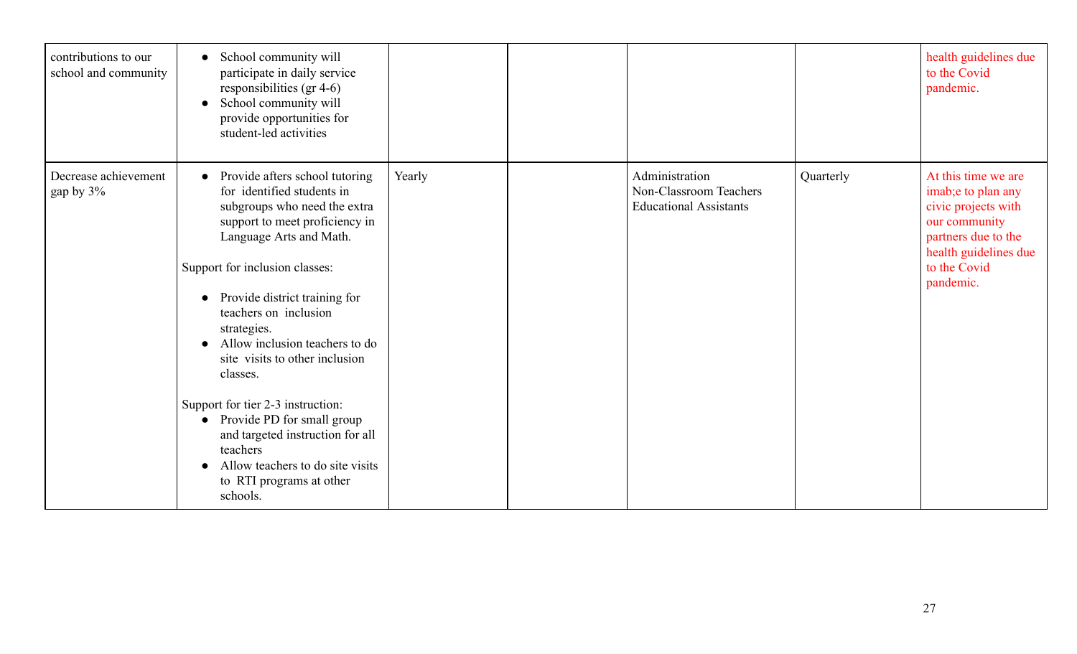| contributions to our<br>school and community | • School community will<br>participate in daily service<br>responsibilities (gr 4-6)<br>School community will<br>provide opportunities for<br>student-led activities                                                                                                                                                                                                                                                                                                                                                                                             |        |                                                                           |           | health guidelines due<br>to the Covid<br>pandemic.                                                                                                             |
|----------------------------------------------|------------------------------------------------------------------------------------------------------------------------------------------------------------------------------------------------------------------------------------------------------------------------------------------------------------------------------------------------------------------------------------------------------------------------------------------------------------------------------------------------------------------------------------------------------------------|--------|---------------------------------------------------------------------------|-----------|----------------------------------------------------------------------------------------------------------------------------------------------------------------|
| Decrease achievement<br>gap by 3%            | Provide afters school tutoring<br>for identified students in<br>subgroups who need the extra<br>support to meet proficiency in<br>Language Arts and Math.<br>Support for inclusion classes:<br>Provide district training for<br>teachers on inclusion<br>strategies.<br>Allow inclusion teachers to do<br>site visits to other inclusion<br>classes.<br>Support for tier 2-3 instruction:<br>Provide PD for small group<br>$\bullet$<br>and targeted instruction for all<br>teachers<br>Allow teachers to do site visits<br>to RTI programs at other<br>schools. | Yearly | Administration<br>Non-Classroom Teachers<br><b>Educational Assistants</b> | Quarterly | At this time we are<br>imab;e to plan any<br>civic projects with<br>our community<br>partners due to the<br>health guidelines due<br>to the Covid<br>pandemic. |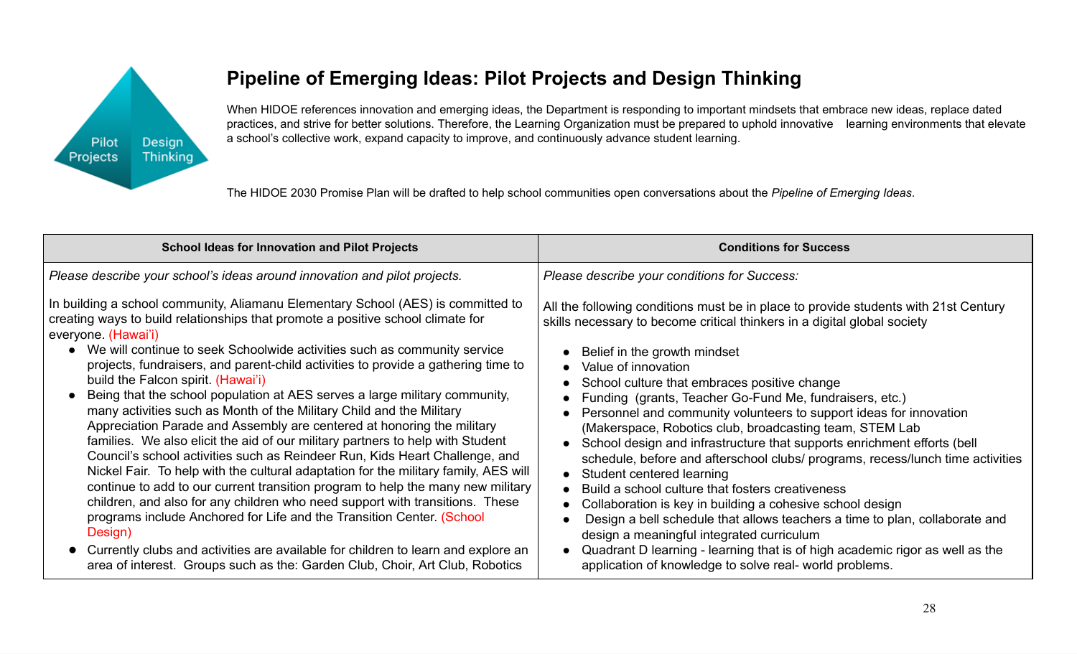

# **Pipeline of Emerging Ideas: Pilot Projects and Design Thinking**

When HIDOE references innovation and emerging ideas, the Department is responding to important mindsets that embrace new ideas, replace dated practices, and strive for better solutions. Therefore, the Learning Organization must be prepared to uphold innovative learning environments that elevate a school's collective work, expand capacity to improve, and continuously advance student learning.

The HIDOE 2030 Promise Plan will be drafted to help school communities open conversations about the *Pipeline of Emerging Ideas*.

| <b>School Ideas for Innovation and Pilot Projects</b>                                                                                                                                                                                                                                                                                                                                                                                                                                                                                                                                                                                                                                                                                                                                                                                                                                                                                                                                                                                                                                                                                     | <b>Conditions for Success</b>                                                                                                                                                                                                                                                                                                                                                                                                                                                                                                                                                                                                                                                                                                                                                                                                                                |
|-------------------------------------------------------------------------------------------------------------------------------------------------------------------------------------------------------------------------------------------------------------------------------------------------------------------------------------------------------------------------------------------------------------------------------------------------------------------------------------------------------------------------------------------------------------------------------------------------------------------------------------------------------------------------------------------------------------------------------------------------------------------------------------------------------------------------------------------------------------------------------------------------------------------------------------------------------------------------------------------------------------------------------------------------------------------------------------------------------------------------------------------|--------------------------------------------------------------------------------------------------------------------------------------------------------------------------------------------------------------------------------------------------------------------------------------------------------------------------------------------------------------------------------------------------------------------------------------------------------------------------------------------------------------------------------------------------------------------------------------------------------------------------------------------------------------------------------------------------------------------------------------------------------------------------------------------------------------------------------------------------------------|
| Please describe your school's ideas around innovation and pilot projects.                                                                                                                                                                                                                                                                                                                                                                                                                                                                                                                                                                                                                                                                                                                                                                                                                                                                                                                                                                                                                                                                 | Please describe your conditions for Success:                                                                                                                                                                                                                                                                                                                                                                                                                                                                                                                                                                                                                                                                                                                                                                                                                 |
| In building a school community, Aliamanu Elementary School (AES) is committed to<br>creating ways to build relationships that promote a positive school climate for<br>everyone. (Hawai'i)<br>• We will continue to seek Schoolwide activities such as community service<br>projects, fundraisers, and parent-child activities to provide a gathering time to<br>build the Falcon spirit. (Hawai'i)<br>• Being that the school population at AES serves a large military community,<br>many activities such as Month of the Military Child and the Military<br>Appreciation Parade and Assembly are centered at honoring the military<br>families. We also elicit the aid of our military partners to help with Student<br>Council's school activities such as Reindeer Run, Kids Heart Challenge, and<br>Nickel Fair. To help with the cultural adaptation for the military family, AES will<br>continue to add to our current transition program to help the many new military<br>children, and also for any children who need support with transitions. These<br>programs include Anchored for Life and the Transition Center. (School | All the following conditions must be in place to provide students with 21st Century<br>skills necessary to become critical thinkers in a digital global society<br>Belief in the growth mindset<br>Value of innovation<br>School culture that embraces positive change<br>Funding (grants, Teacher Go-Fund Me, fundraisers, etc.)<br>Personnel and community volunteers to support ideas for innovation<br>(Makerspace, Robotics club, broadcasting team, STEM Lab<br>School design and infrastructure that supports enrichment efforts (bell<br>schedule, before and afterschool clubs/ programs, recess/lunch time activities<br>Student centered learning<br>Build a school culture that fosters creativeness<br>Collaboration is key in building a cohesive school design<br>Design a bell schedule that allows teachers a time to plan, collaborate and |
| Design)<br>• Currently clubs and activities are available for children to learn and explore an<br>area of interest. Groups such as the: Garden Club, Choir, Art Club, Robotics                                                                                                                                                                                                                                                                                                                                                                                                                                                                                                                                                                                                                                                                                                                                                                                                                                                                                                                                                            | design a meaningful integrated curriculum<br>Quadrant D learning - learning that is of high academic rigor as well as the<br>application of knowledge to solve real- world problems.                                                                                                                                                                                                                                                                                                                                                                                                                                                                                                                                                                                                                                                                         |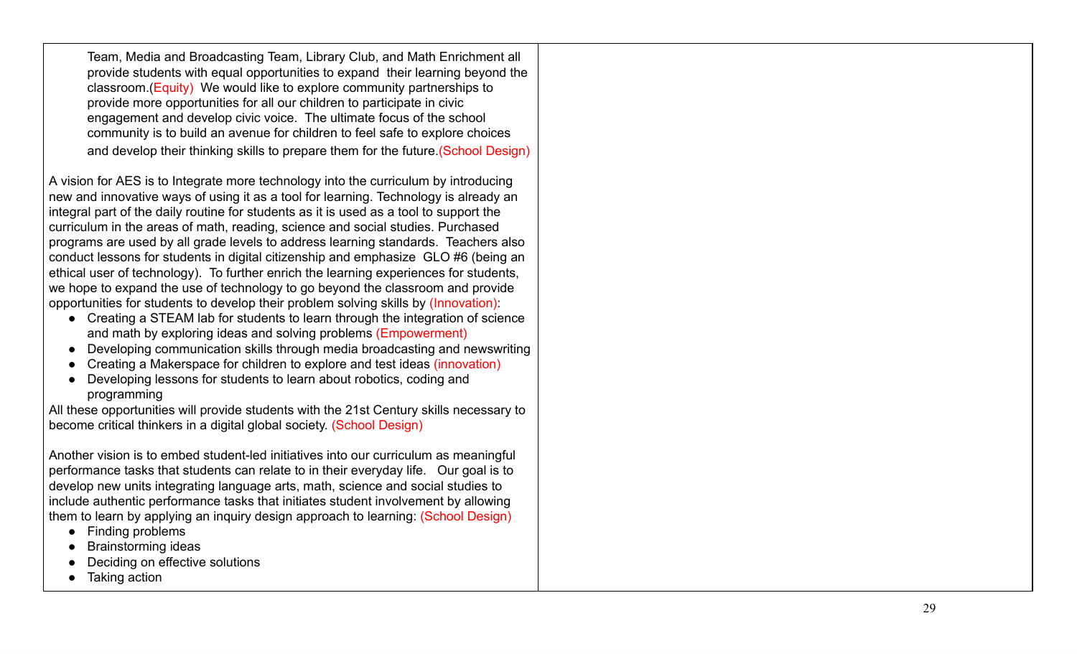Team, Media and Broadcasting Team, Library Club, and Math Enrichment all provide students with equal opportunities to expand their learning beyond the classroom.(Equity) We would like to explore community partnerships to provide more opportunities for all our children to participate in civic engagement and develop civic voice. The ultimate focus of the school community is to build an avenue for children to feel safe to explore choices and develop their thinking skills to prepare them for the future. (School Design)

A vision for AES is to Integrate more technology into the curriculum by introducing new and innovative ways of using it as a tool for learning. Technology is already an integral part of the daily routine for students as it is used as a tool to support the curriculum in the areas of math, reading, science and social studies. Purchased programs are used by all grade levels to address learning standards. Teachers also conduct lessons for students in digital citizenship and emphasize GLO #6 (being an ethical user of technology). To further enrich the learning experiences for students, we hope to expand the use of technology to go beyond the classroom and provide opportunities for students to develop their problem solving skills by (Innovation):<br>● Creating a STEAM lab for students to learn through the integration of science

- and math by exploring ideas and solving problems (Empowerment)
- Developing communication skills through media broadcasting and newswriting<br>● Creating a Makerspace for children to explore and test ideas (innovation)<br>● Developing lessons for students to learn about robotics, coding an
- 
- programming

All these opportunities will provide students with the 21st Century skills necessary to become critical thinkers in a digital global society. (School Design)

Another vision is to embed student-led initiatives into our curriculum as meaningful performance tasks that students can relate to in their everyday life. Our goal is to develop new units integrating language arts, math, science and social studies to include authentic performance tasks that initiates student involvement by allowing them to learn by applying an inquiry design approach to learning: (School Design)<br>● Finding problems<br>● Brainstorming ideas<br>● Deciding on effective solutions<br>● Taking action

- 
- 
- 
-